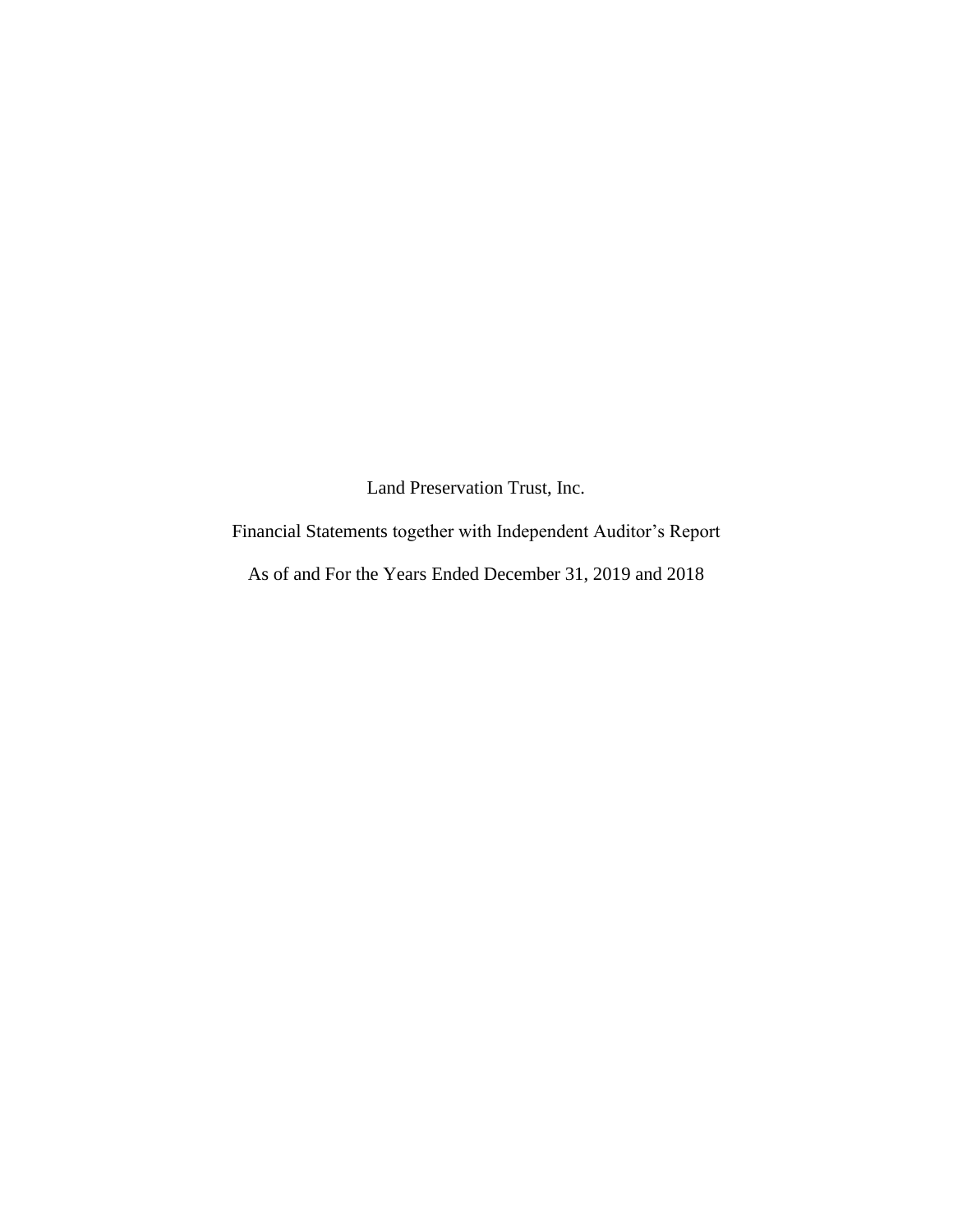Land Preservation Trust, Inc.

Financial Statements together with Independent Auditor's Report As of and For the Years Ended December 31, 2019 and 2018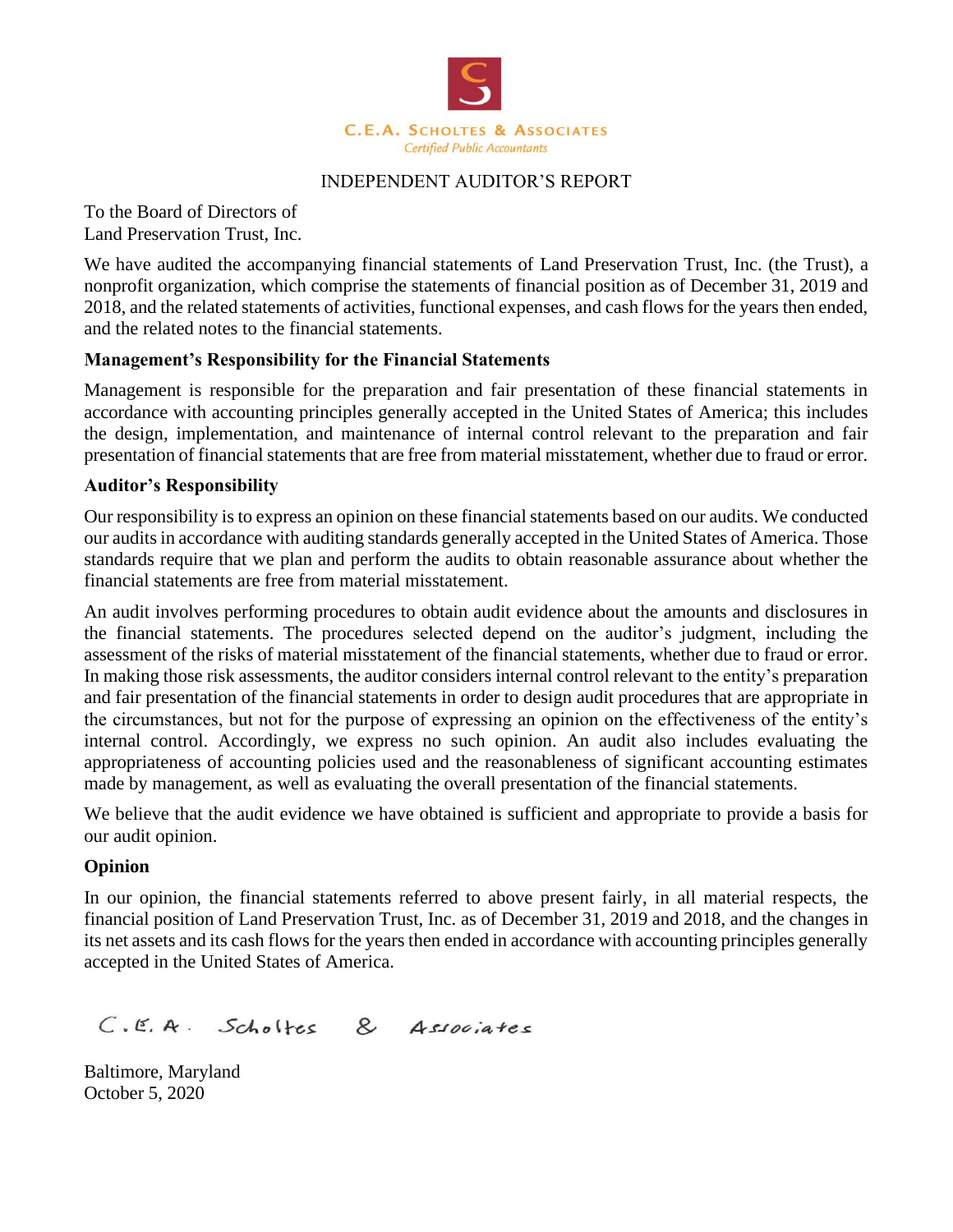

### INDEPENDENT AUDITOR'S REPORT

To the Board of Directors of Land Preservation Trust, Inc.

We have audited the accompanying financial statements of Land Preservation Trust, Inc. (the Trust), a nonprofit organization, which comprise the statements of financial position as of December 31, 2019 and 2018, and the related statements of activities, functional expenses, and cash flows for the years then ended, and the related notes to the financial statements.

### **Management's Responsibility for the Financial Statements**

Management is responsible for the preparation and fair presentation of these financial statements in accordance with accounting principles generally accepted in the United States of America; this includes the design, implementation, and maintenance of internal control relevant to the preparation and fair presentation of financial statements that are free from material misstatement, whether due to fraud or error.

### **Auditor's Responsibility**

Our responsibility is to express an opinion on these financial statements based on our audits. We conducted our audits in accordance with auditing standards generally accepted in the United States of America. Those standards require that we plan and perform the audits to obtain reasonable assurance about whether the financial statements are free from material misstatement.

An audit involves performing procedures to obtain audit evidence about the amounts and disclosures in the financial statements. The procedures selected depend on the auditor's judgment, including the assessment of the risks of material misstatement of the financial statements, whether due to fraud or error. In making those risk assessments, the auditor considers internal control relevant to the entity's preparation and fair presentation of the financial statements in order to design audit procedures that are appropriate in the circumstances, but not for the purpose of expressing an opinion on the effectiveness of the entity's internal control. Accordingly, we express no such opinion. An audit also includes evaluating the appropriateness of accounting policies used and the reasonableness of significant accounting estimates made by management, as well as evaluating the overall presentation of the financial statements.

We believe that the audit evidence we have obtained is sufficient and appropriate to provide a basis for our audit opinion.

### **Opinion**

In our opinion, the financial statements referred to above present fairly, in all material respects, the financial position of Land Preservation Trust, Inc. as of December 31, 2019 and 2018, and the changes in its net assets and its cash flows for the years then ended in accordance with accounting principles generally accepted in the United States of America.

C.E.A. Scholtes & Associates

Baltimore, Maryland October 5, 2020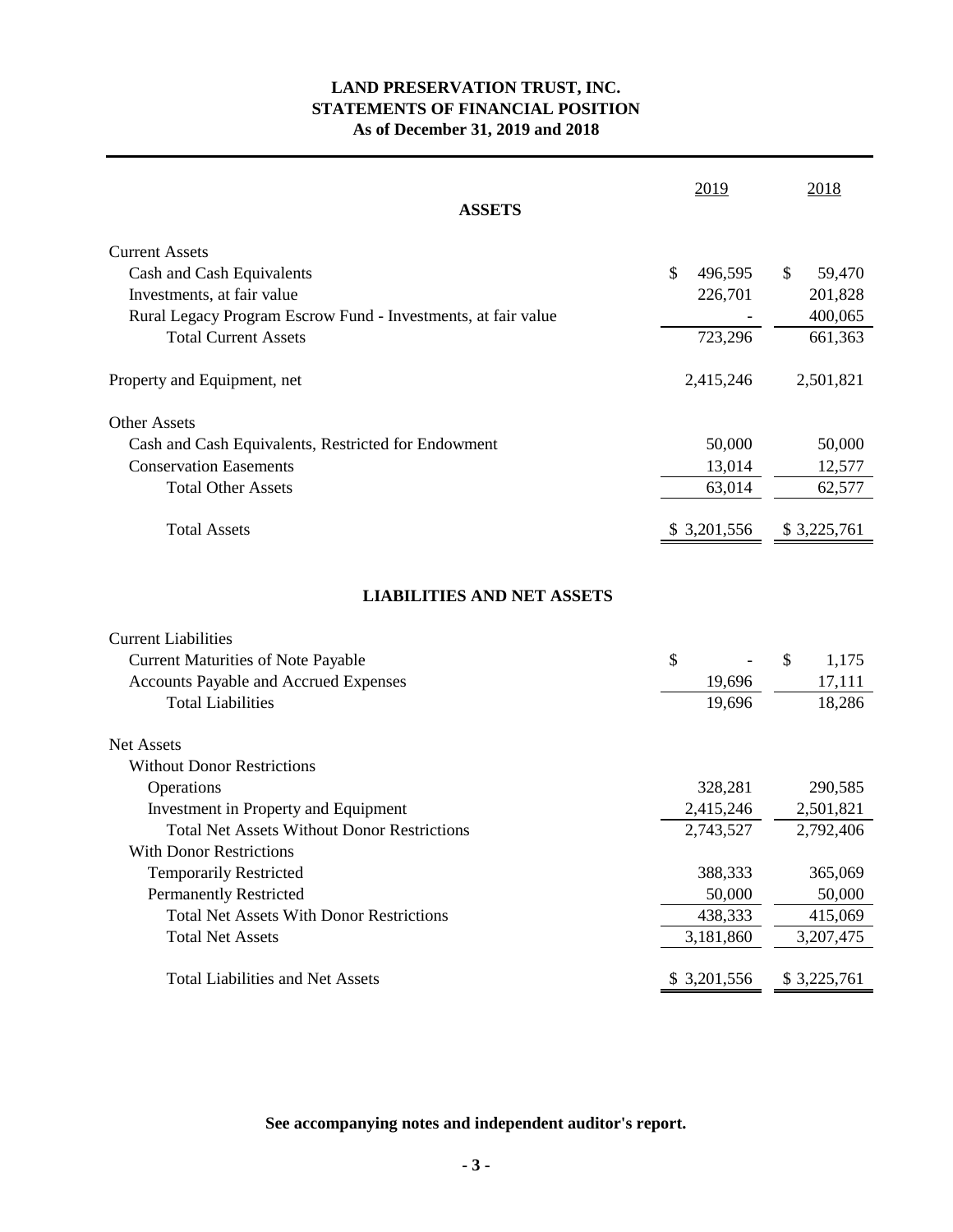### **LAND PRESERVATION TRUST, INC. STATEMENTS OF FINANCIAL POSITION As of December 31, 2019 and 2018**

| <b>ASSETS</b>                                                 | 2019          |               | 2018        |
|---------------------------------------------------------------|---------------|---------------|-------------|
| <b>Current Assets</b>                                         |               |               |             |
| Cash and Cash Equivalents                                     | \$<br>496,595 | \$            | 59,470      |
| Investments, at fair value                                    | 226,701       |               | 201,828     |
| Rural Legacy Program Escrow Fund - Investments, at fair value |               |               | 400,065     |
| <b>Total Current Assets</b>                                   | 723,296       |               | 661,363     |
| Property and Equipment, net                                   | 2,415,246     |               | 2,501,821   |
| <b>Other Assets</b>                                           |               |               |             |
| Cash and Cash Equivalents, Restricted for Endowment           | 50,000        |               | 50,000      |
| <b>Conservation Easements</b>                                 | 13,014        |               | 12,577      |
| <b>Total Other Assets</b>                                     | 63,014        |               | 62,577      |
| <b>Total Assets</b>                                           | \$ 3,201,556  |               | \$3,225,761 |
| <b>LIABILITIES AND NET ASSETS</b>                             |               |               |             |
| <b>Current Liabilities</b>                                    |               |               |             |
| <b>Current Maturities of Note Payable</b>                     | \$            | $\mathcal{S}$ | 1,175       |
| Accounts Payable and Accrued Expenses                         | 19,696        |               | 17,111      |
| <b>Total Liabilities</b>                                      | 19,696        |               | 18,286      |
| Net Assets                                                    |               |               |             |
| <b>Without Donor Restrictions</b>                             |               |               |             |
| Operations                                                    | 328,281       |               | 290,585     |
| Investment in Property and Equipment                          | 2,415,246     |               | 2,501,821   |
| <b>Total Net Assets Without Donor Restrictions</b>            | 2,743,527     |               | 2,792,406   |
| <b>With Donor Restrictions</b>                                |               |               |             |
| <b>Temporarily Restricted</b>                                 | 388,333       |               | 365,069     |
| <b>Permanently Restricted</b>                                 | 50,000        |               | 50,000      |

Total Liabilities and Net Assets \$ 3,201,556 \$ 3,225,761

**See accompanying notes and independent auditor's report.**

Total Net Assets With Donor Restrictions 438,333 415,069 Total Net Assets 3,181,860 3,207,475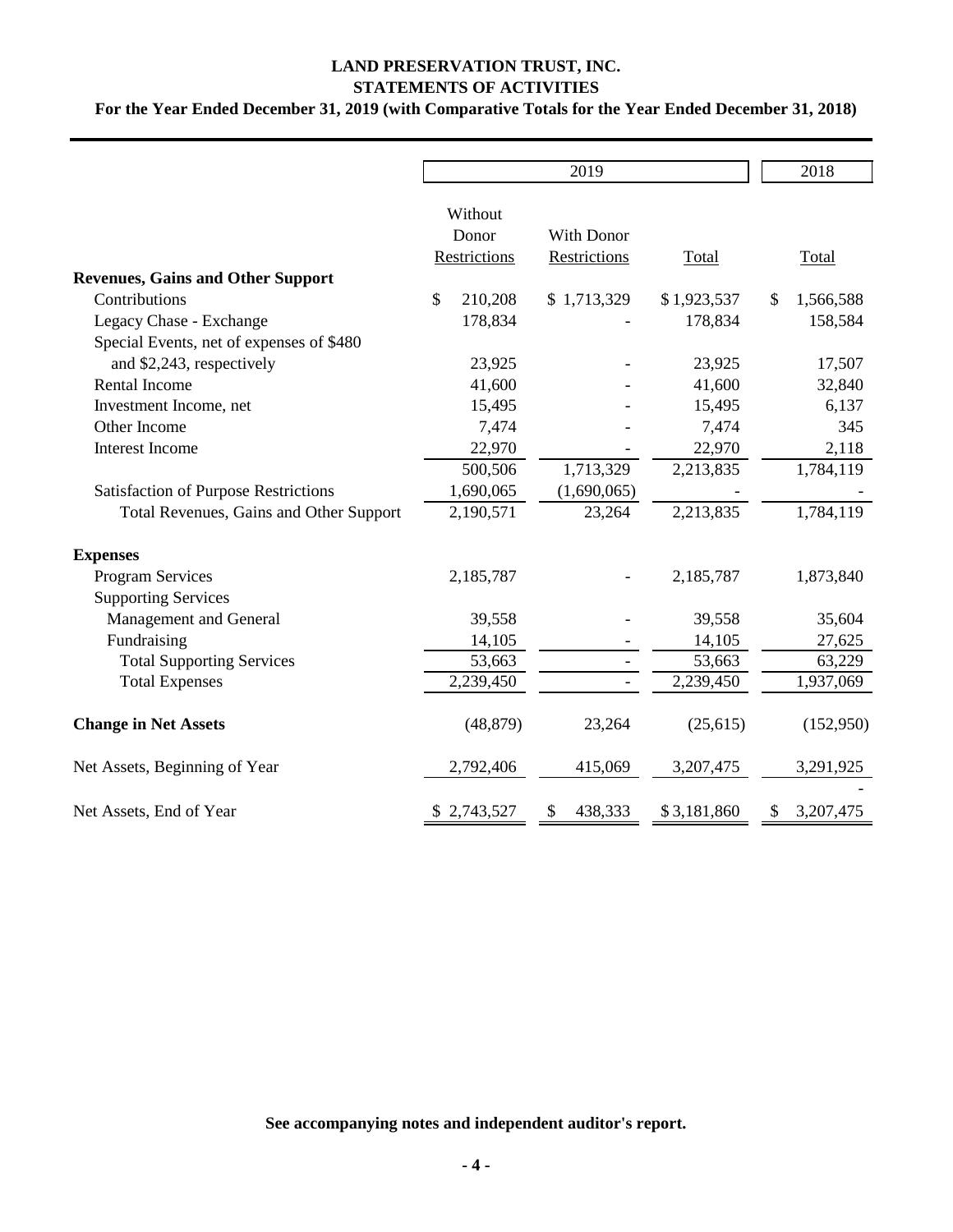### **LAND PRESERVATION TRUST, INC. STATEMENTS OF ACTIVITIES**

### **For the Year Ended December 31, 2019 (with Comparative Totals for the Year Ended December 31, 2018)**

|                                             |               | 2019                     |             | 2018             |
|---------------------------------------------|---------------|--------------------------|-------------|------------------|
|                                             |               |                          |             |                  |
|                                             | Without       |                          |             |                  |
|                                             | Donor         | With Donor               |             |                  |
|                                             | Restrictions  | Restrictions             | Total       | Total            |
| <b>Revenues, Gains and Other Support</b>    |               |                          |             |                  |
| Contributions                               | \$<br>210,208 | \$1,713,329              | \$1,923,537 | 1,566,588<br>\$. |
| Legacy Chase - Exchange                     | 178,834       |                          | 178,834     | 158,584          |
| Special Events, net of expenses of \$480    |               |                          |             |                  |
| and \$2,243, respectively                   | 23,925        |                          | 23,925      | 17,507           |
| Rental Income                               | 41,600        |                          | 41,600      | 32,840           |
| Investment Income, net                      | 15,495        |                          | 15,495      | 6,137            |
| Other Income                                | 7,474         |                          | 7,474       | 345              |
| Interest Income                             | 22,970        |                          | 22,970      | 2,118            |
|                                             | 500,506       | 1,713,329                | 2,213,835   | 1,784,119        |
| <b>Satisfaction of Purpose Restrictions</b> | 1,690,065     | (1,690,065)              |             |                  |
| Total Revenues, Gains and Other Support     | 2,190,571     | 23,264                   | 2,213,835   | 1,784,119        |
| <b>Expenses</b>                             |               |                          |             |                  |
| Program Services                            | 2,185,787     |                          | 2,185,787   | 1,873,840        |
| <b>Supporting Services</b>                  |               |                          |             |                  |
| Management and General                      | 39,558        |                          | 39,558      | 35,604           |
| Fundraising                                 | 14,105        |                          | 14,105      | 27,625           |
| <b>Total Supporting Services</b>            | 53,663        |                          | 53,663      | 63,229           |
| <b>Total Expenses</b>                       | 2,239,450     | $\overline{\phantom{a}}$ | 2,239,450   | 1,937,069        |
| <b>Change in Net Assets</b>                 | (48, 879)     | 23,264                   | (25, 615)   | (152,950)        |
| Net Assets, Beginning of Year               | 2,792,406     | 415,069                  | 3,207,475   | 3,291,925        |
| Net Assets, End of Year                     | \$2,743,527   | \$<br>438,333            | \$3,181,860 | 3,207,475<br>\$  |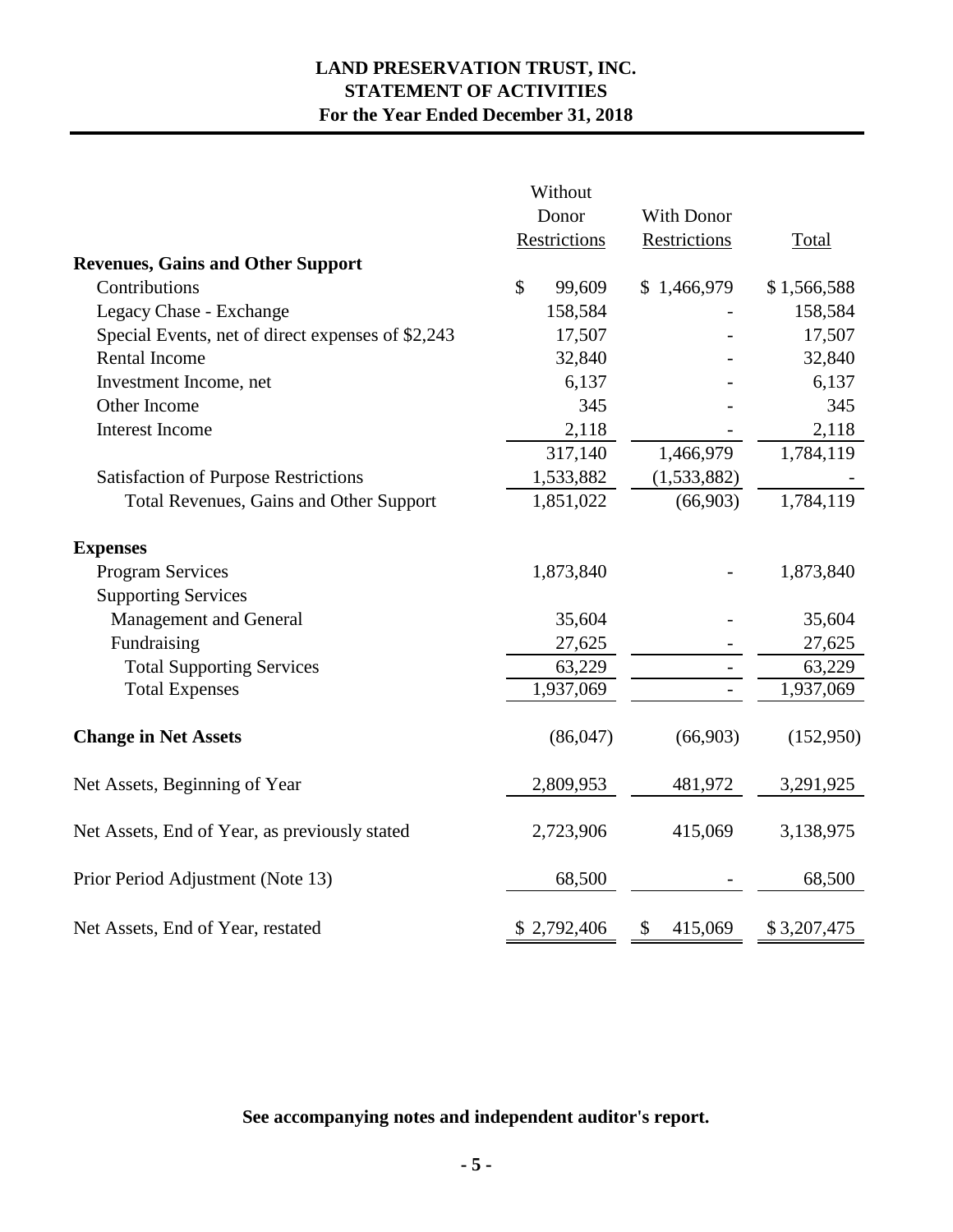# **LAND PRESERVATION TRUST, INC. STATEMENT OF ACTIVITIES For the Year Ended December 31, 2018**

|                                                   | Without      |          |                   |                        |
|---------------------------------------------------|--------------|----------|-------------------|------------------------|
|                                                   | Donor        |          | <b>With Donor</b> |                        |
|                                                   | Restrictions |          | Restrictions      | Total                  |
| <b>Revenues, Gains and Other Support</b>          |              |          |                   |                        |
| Contributions                                     | \$           | 99,609   | \$1,466,979       | \$1,566,588            |
| Legacy Chase - Exchange                           |              | 158,584  |                   | 158,584                |
| Special Events, net of direct expenses of \$2,243 |              | 17,507   |                   | 17,507                 |
| <b>Rental Income</b>                              |              | 32,840   |                   | 32,840                 |
| Investment Income, net                            |              | 6,137    |                   | 6,137                  |
| Other Income                                      |              | 345      |                   | 345                    |
| <b>Interest Income</b>                            |              | 2,118    |                   | 2,118                  |
|                                                   |              | 317,140  | 1,466,979         | 1,784,119              |
| Satisfaction of Purpose Restrictions              | 1,533,882    |          | (1,533,882)       |                        |
| Total Revenues, Gains and Other Support           | 1,851,022    |          | (66,903)          | 1,784,119              |
| <b>Expenses</b>                                   |              |          |                   |                        |
| <b>Program Services</b>                           | 1,873,840    |          |                   | 1,873,840              |
| <b>Supporting Services</b>                        |              |          |                   |                        |
| Management and General                            |              | 35,604   |                   | 35,604                 |
| Fundraising                                       |              | 27,625   |                   | 27,625                 |
| <b>Total Supporting Services</b>                  |              | 63,229   |                   | 63,229                 |
| <b>Total Expenses</b>                             | 1,937,069    |          |                   | $\overline{1,}937,069$ |
| <b>Change in Net Assets</b>                       |              | (86,047) | (66,903)          | (152,950)              |
| Net Assets, Beginning of Year                     | 2,809,953    |          | 481,972           | 3,291,925              |
| Net Assets, End of Year, as previously stated     | 2,723,906    |          | 415,069           | 3,138,975              |
| Prior Period Adjustment (Note 13)                 |              | 68,500   |                   | 68,500                 |
| Net Assets, End of Year, restated                 | \$2,792,406  |          | \$<br>415,069     | \$3,207,475            |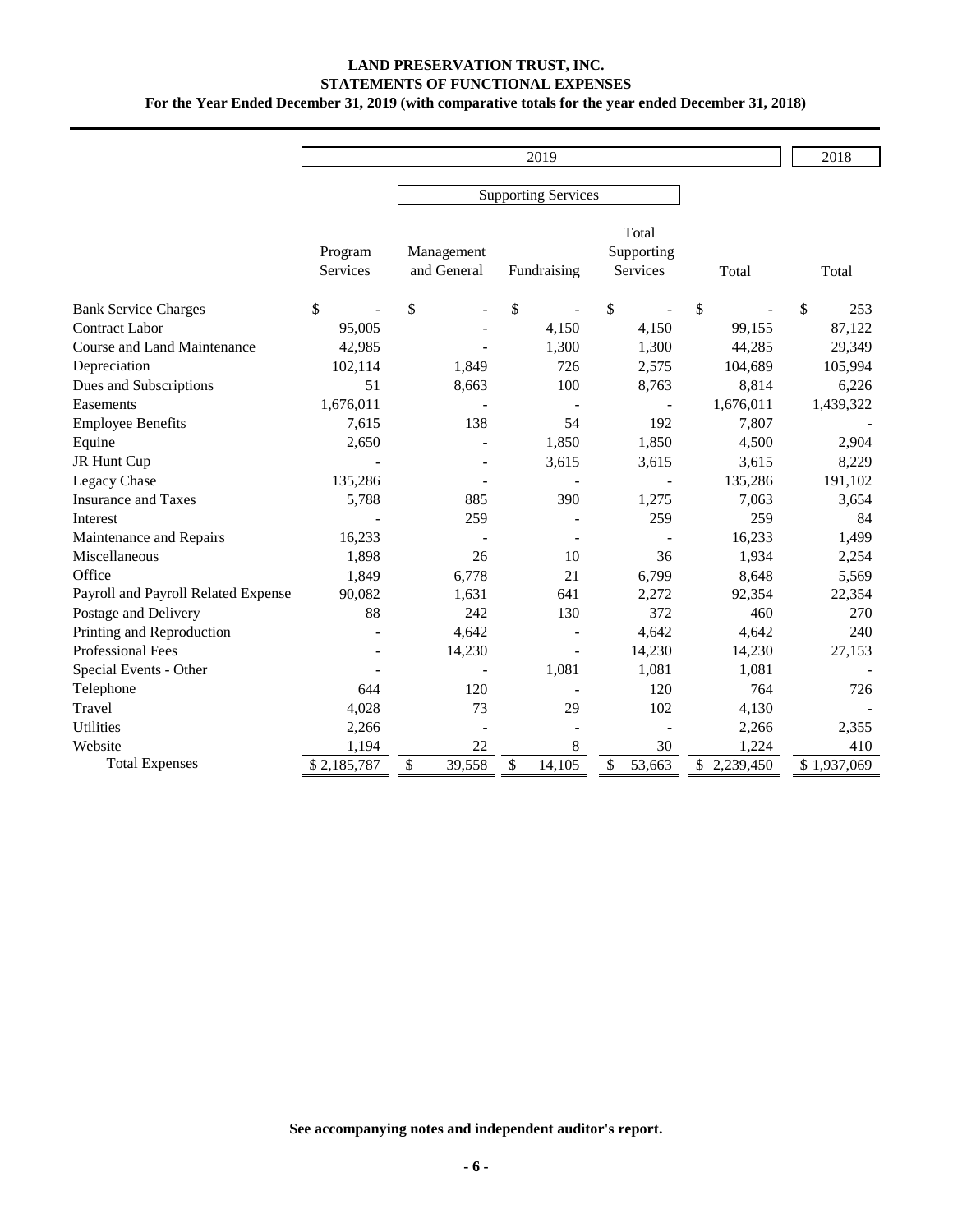#### **LAND PRESERVATION TRUST, INC. STATEMENTS OF FUNCTIONAL EXPENSES For the Year Ended December 31, 2019 (with comparative totals for the year ended December 31, 2018)**

|                                     | 2019        |              |                            |              |             | 2018        |
|-------------------------------------|-------------|--------------|----------------------------|--------------|-------------|-------------|
|                                     |             |              |                            |              |             |             |
|                                     |             |              | <b>Supporting Services</b> |              |             |             |
|                                     |             |              |                            | Total        |             |             |
|                                     | Program     | Management   |                            | Supporting   |             |             |
|                                     | Services    | and General  | <b>Fundraising</b>         | Services     | Total       | Total       |
| <b>Bank Service Charges</b>         | \$          | \$           | \$                         | \$           | \$          | \$<br>253   |
| <b>Contract Labor</b>               | 95,005      |              | 4,150                      | 4,150        | 99,155      | 87,122      |
| Course and Land Maintenance         | 42,985      |              | 1,300                      | 1,300        | 44,285      | 29,349      |
| Depreciation                        | 102,114     | 1,849        | 726                        | 2,575        | 104,689     | 105,994     |
| Dues and Subscriptions              | 51          | 8,663        | 100                        | 8,763        | 8,814       | 6,226       |
| Easements                           | 1,676,011   |              | $\overline{\phantom{a}}$   |              | 1,676,011   | 1,439,322   |
| <b>Employee Benefits</b>            | 7,615       | 138          | 54                         | 192          | 7,807       |             |
| Equine                              | 2,650       |              | 1,850                      | 1,850        | 4,500       | 2,904       |
| JR Hunt Cup                         |             |              | 3,615                      | 3,615        | 3,615       | 8,229       |
| Legacy Chase                        | 135,286     |              |                            |              | 135,286     | 191,102     |
| <b>Insurance and Taxes</b>          | 5,788       | 885          | 390                        | 1,275        | 7,063       | 3,654       |
| Interest                            |             | 259          |                            | 259          | 259         | 84          |
| Maintenance and Repairs             | 16,233      |              |                            |              | 16,233      | 1,499       |
| Miscellaneous                       | 1,898       | 26           | 10                         | 36           | 1,934       | 2,254       |
| Office                              | 1,849       | 6,778        | 21                         | 6,799        | 8,648       | 5,569       |
| Payroll and Payroll Related Expense | 90,082      | 1,631        | 641                        | 2,272        | 92,354      | 22,354      |
| Postage and Delivery                | 88          | 242          | 130                        | 372          | 460         | 270         |
| Printing and Reproduction           |             | 4,642        |                            | 4,642        | 4,642       | 240         |
| Professional Fees                   |             | 14,230       |                            | 14,230       | 14,230      | 27,153      |
| Special Events - Other              |             |              | 1,081                      | 1,081        | 1,081       |             |
| Telephone                           | 644         | 120          |                            | 120          | 764         | 726         |
| Travel                              | 4,028       | 73           | 29                         | 102          | 4,130       |             |
| <b>Utilities</b>                    | 2,266       |              |                            |              | 2,266       | 2,355       |
| Website                             | 1,194       | 22           | 8                          | 30           | 1,224       | 410         |
| <b>Total Expenses</b>               | \$2,185,787 | 39,558<br>\$ | 14,105<br>\$               | \$<br>53,663 | \$2,239,450 | \$1,937,069 |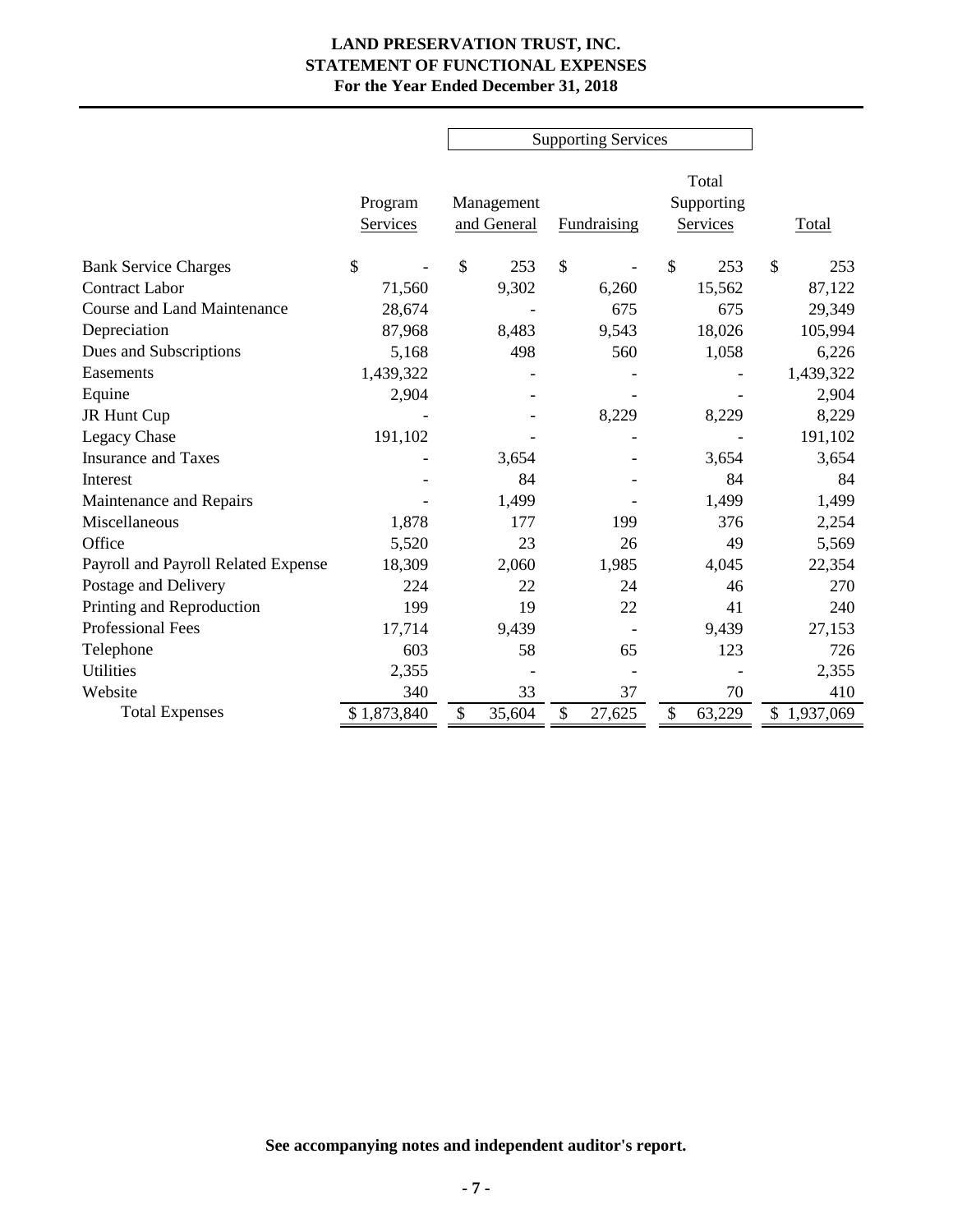### **LAND PRESERVATION TRUST, INC. STATEMENT OF FUNCTIONAL EXPENSES For the Year Ended December 31, 2018**

|                                     |                     | <b>Supporting Services</b> |                    |                                  |                      |
|-------------------------------------|---------------------|----------------------------|--------------------|----------------------------------|----------------------|
|                                     | Program<br>Services | Management<br>and General  | <b>Fundraising</b> | Total<br>Supporting<br>Services  | Total                |
| <b>Bank Service Charges</b>         | \$                  | $\mathbb{S}$<br>253        | \$                 | $\boldsymbol{\mathsf{S}}$<br>253 | $\mathcal{S}$<br>253 |
| <b>Contract Labor</b>               | 71,560              | 9,302                      | 6,260              | 15,562                           | 87,122               |
| <b>Course and Land Maintenance</b>  | 28,674              |                            | 675                | 675                              | 29,349               |
| Depreciation                        | 87,968              | 8,483                      | 9,543              | 18,026                           | 105,994              |
| Dues and Subscriptions              | 5,168               | 498                        | 560                | 1,058                            | 6,226                |
| Easements                           | 1,439,322           |                            |                    |                                  | 1,439,322            |
| Equine                              | 2,904               |                            |                    |                                  | 2,904                |
| JR Hunt Cup                         |                     |                            | 8,229              | 8,229                            | 8,229                |
| Legacy Chase                        | 191,102             |                            |                    |                                  | 191,102              |
| <b>Insurance and Taxes</b>          |                     | 3,654                      |                    | 3,654                            | 3,654                |
| <b>Interest</b>                     |                     | 84                         |                    | 84                               | 84                   |
| Maintenance and Repairs             |                     | 1,499                      |                    | 1,499                            | 1,499                |
| Miscellaneous                       | 1,878               | 177                        | 199                | 376                              | 2,254                |
| Office                              | 5,520               | 23                         | 26                 | 49                               | 5,569                |
| Payroll and Payroll Related Expense | 18,309              | 2,060                      | 1,985              | 4,045                            | 22,354               |
| Postage and Delivery                | 224                 | 22                         | 24                 | 46                               | 270                  |
| Printing and Reproduction           | 199                 | 19                         | 22                 | 41                               | 240                  |
| <b>Professional Fees</b>            | 17,714              | 9,439                      |                    | 9,439                            | 27,153               |
| Telephone                           | 603                 | 58                         | 65                 | 123                              | 726                  |
| <b>Utilities</b>                    | 2,355               |                            |                    |                                  | 2,355                |
| Website                             | 340                 | 33                         | 37                 | 70                               | 410                  |
| <b>Total Expenses</b>               | \$1,873,840         | \$<br>35,604               | \$<br>27,625       | \$<br>63,229                     | \$<br>1,937,069      |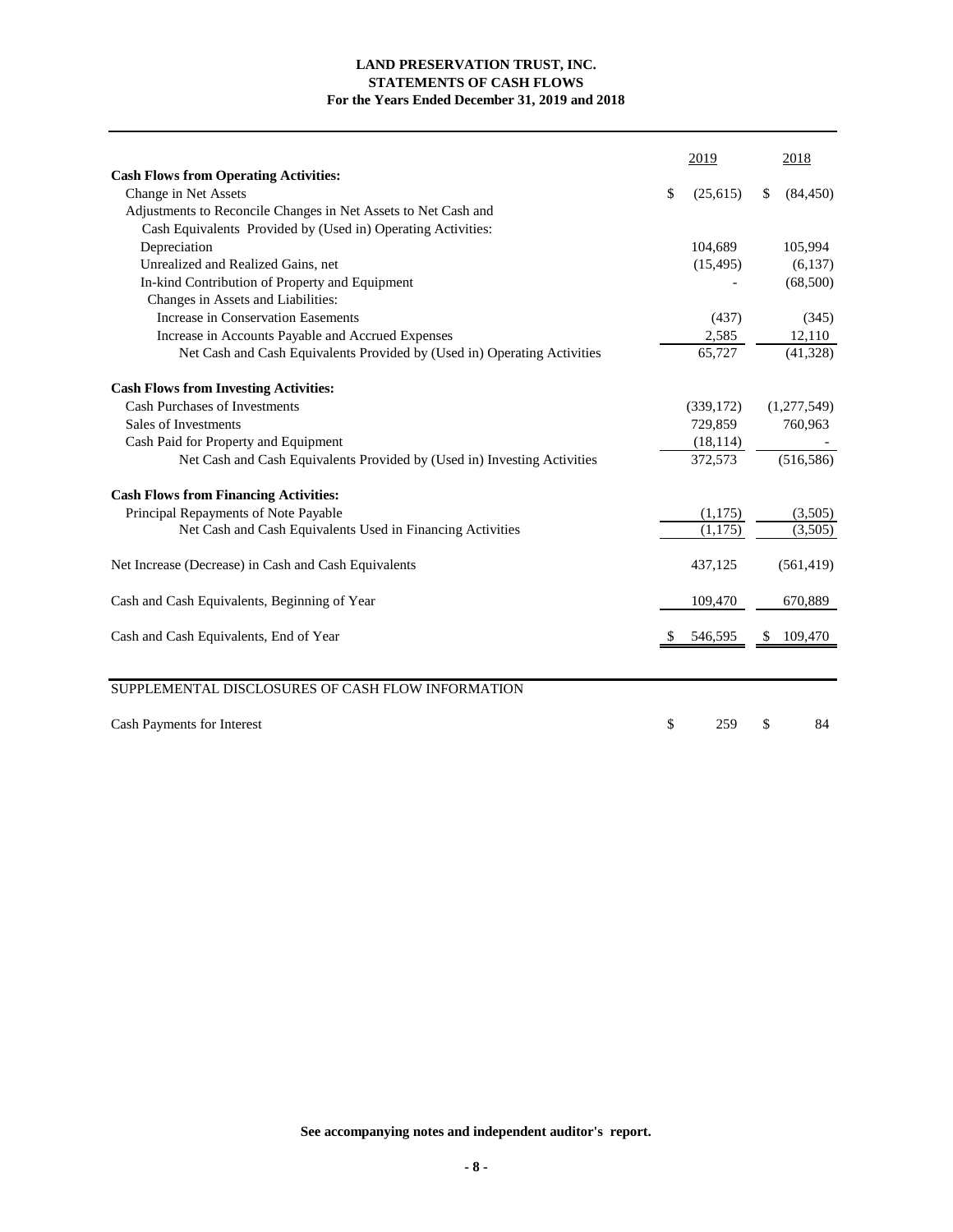#### **LAND PRESERVATION TRUST, INC. STATEMENTS OF CASH FLOWS For the Years Ended December 31, 2019 and 2018**

|                                                                          | 2019           |    | 2018        |
|--------------------------------------------------------------------------|----------------|----|-------------|
| <b>Cash Flows from Operating Activities:</b>                             |                |    |             |
| Change in Net Assets                                                     | \$<br>(25,615) | \$ | (84, 450)   |
| Adjustments to Reconcile Changes in Net Assets to Net Cash and           |                |    |             |
| Cash Equivalents Provided by (Used in) Operating Activities:             |                |    |             |
| Depreciation                                                             | 104,689        |    | 105,994     |
| Unrealized and Realized Gains, net                                       | (15, 495)      |    | (6, 137)    |
| In-kind Contribution of Property and Equipment                           |                |    | (68,500)    |
| Changes in Assets and Liabilities:                                       |                |    |             |
| Increase in Conservation Easements                                       | (437)          |    | (345)       |
| Increase in Accounts Payable and Accrued Expenses                        | 2,585          |    | 12,110      |
| Net Cash and Cash Equivalents Provided by (Used in) Operating Activities | 65,727         |    | (41, 328)   |
| <b>Cash Flows from Investing Activities:</b>                             |                |    |             |
| <b>Cash Purchases of Investments</b>                                     | (339, 172)     |    | (1,277,549) |
| Sales of Investments                                                     | 729,859        |    | 760,963     |
| Cash Paid for Property and Equipment                                     | (18, 114)      |    |             |
| Net Cash and Cash Equivalents Provided by (Used in) Investing Activities | 372,573        |    | (516, 586)  |
| <b>Cash Flows from Financing Activities:</b>                             |                |    |             |
| Principal Repayments of Note Payable                                     | (1,175)        |    | (3,505)     |
| Net Cash and Cash Equivalents Used in Financing Activities               | (1, 175)       |    | (3,505)     |
| Net Increase (Decrease) in Cash and Cash Equivalents                     | 437,125        |    | (561, 419)  |
| Cash and Cash Equivalents, Beginning of Year                             | 109,470        |    | 670,889     |
| Cash and Cash Equivalents, End of Year                                   | 546,595        | S  | 109,470     |
|                                                                          |                |    |             |
| SUPPLEMENTAL DISCLOSURES OF CASH FLOW INFORMATION                        |                |    |             |
| Cash Payments for Interest                                               | \$<br>259      | \$ | 84          |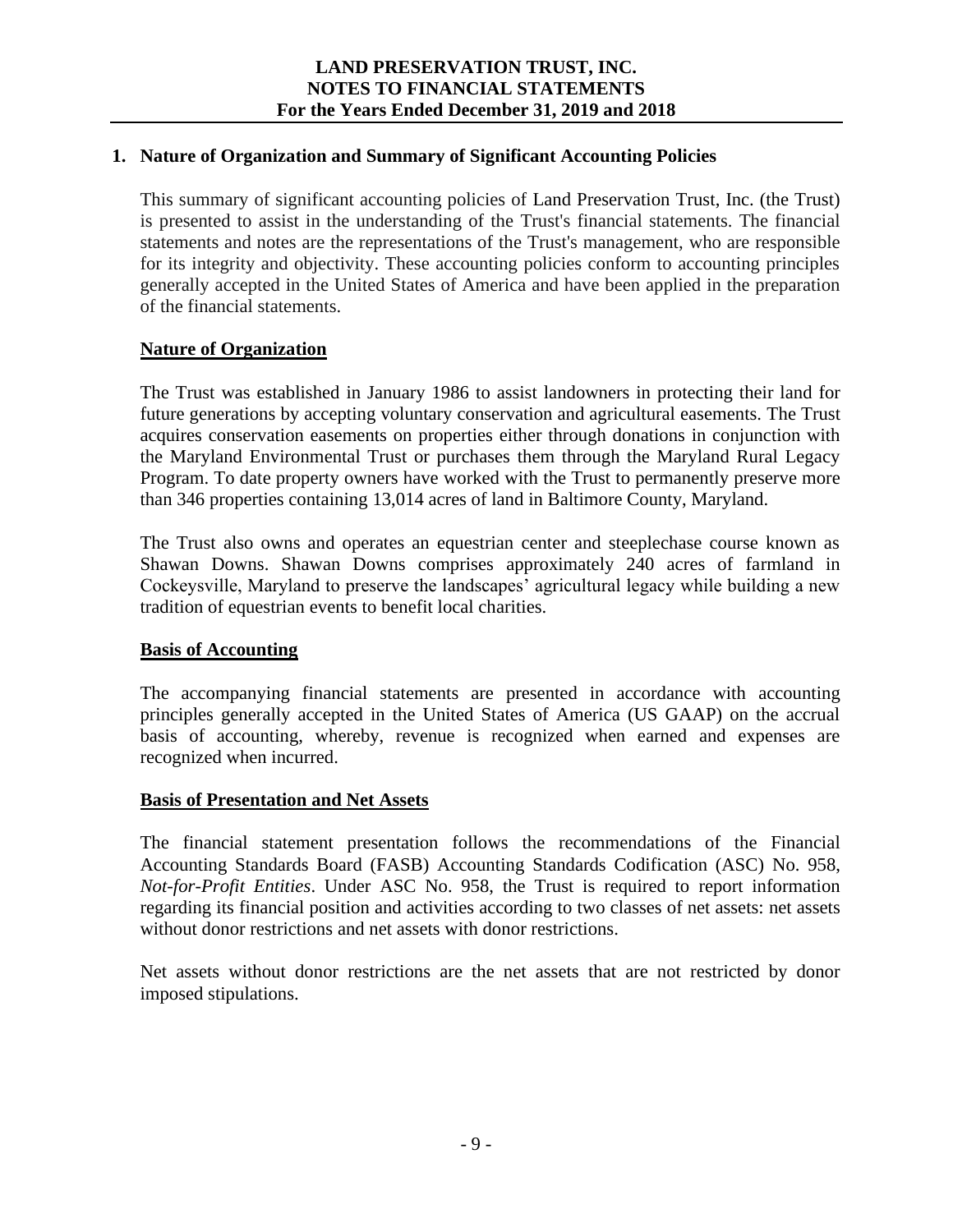This summary of significant accounting policies of Land Preservation Trust, Inc. (the Trust) is presented to assist in the understanding of the Trust's financial statements. The financial statements and notes are the representations of the Trust's management, who are responsible for its integrity and objectivity. These accounting policies conform to accounting principles generally accepted in the United States of America and have been applied in the preparation of the financial statements.

## **Nature of Organization**

The Trust was established in January 1986 to assist landowners in protecting their land for future generations by accepting voluntary conservation and agricultural easements. The Trust acquires conservation easements on properties either through donations in conjunction with the Maryland Environmental Trust or purchases them through the Maryland Rural Legacy Program. To date property owners have worked with the Trust to permanently preserve more than 346 properties containing 13,014 acres of land in Baltimore County, Maryland.

The Trust also owns and operates an equestrian center and steeplechase course known as Shawan Downs. Shawan Downs comprises approximately 240 acres of farmland in Cockeysville, Maryland to preserve the landscapes' agricultural legacy while building a new tradition of equestrian events to benefit local charities.

### **Basis of Accounting**

The accompanying financial statements are presented in accordance with accounting principles generally accepted in the United States of America (US GAAP) on the accrual basis of accounting, whereby, revenue is recognized when earned and expenses are recognized when incurred.

### **Basis of Presentation and Net Assets**

The financial statement presentation follows the recommendations of the Financial Accounting Standards Board (FASB) Accounting Standards Codification (ASC) No. 958, *Not-for-Profit Entities*. Under ASC No. 958, the Trust is required to report information regarding its financial position and activities according to two classes of net assets: net assets without donor restrictions and net assets with donor restrictions.

Net assets without donor restrictions are the net assets that are not restricted by donor imposed stipulations.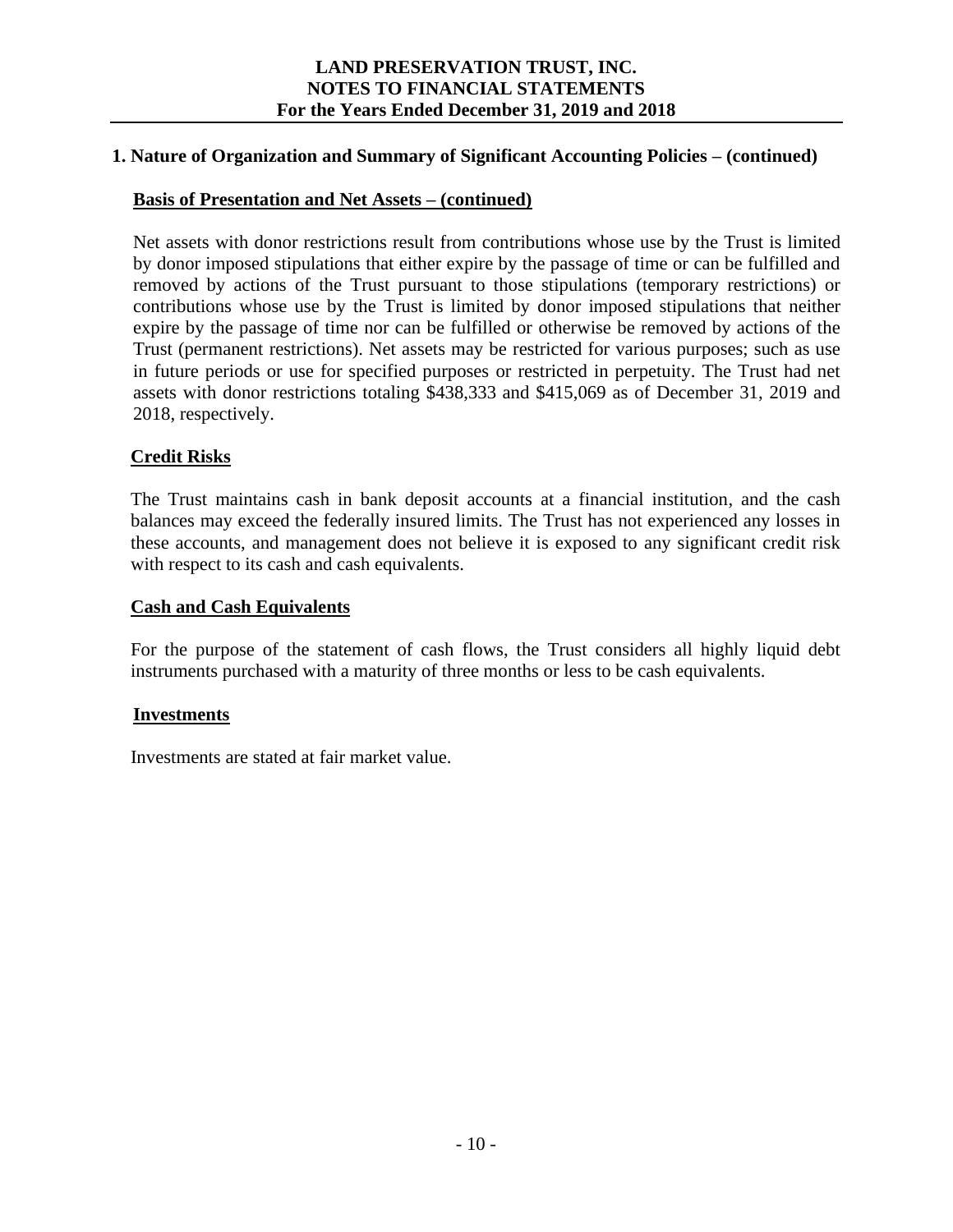### **Basis of Presentation and Net Assets – (continued)**

Net assets with donor restrictions result from contributions whose use by the Trust is limited by donor imposed stipulations that either expire by the passage of time or can be fulfilled and removed by actions of the Trust pursuant to those stipulations (temporary restrictions) or contributions whose use by the Trust is limited by donor imposed stipulations that neither expire by the passage of time nor can be fulfilled or otherwise be removed by actions of the Trust (permanent restrictions). Net assets may be restricted for various purposes; such as use in future periods or use for specified purposes or restricted in perpetuity. The Trust had net assets with donor restrictions totaling \$438,333 and \$415,069 as of December 31, 2019 and 2018, respectively.

## **Credit Risks**

The Trust maintains cash in bank deposit accounts at a financial institution, and the cash balances may exceed the federally insured limits. The Trust has not experienced any losses in these accounts, and management does not believe it is exposed to any significant credit risk with respect to its cash and cash equivalents.

### **Cash and Cash Equivalents**

For the purpose of the statement of cash flows, the Trust considers all highly liquid debt instruments purchased with a maturity of three months or less to be cash equivalents.

### **Investments**

Investments are stated at fair market value.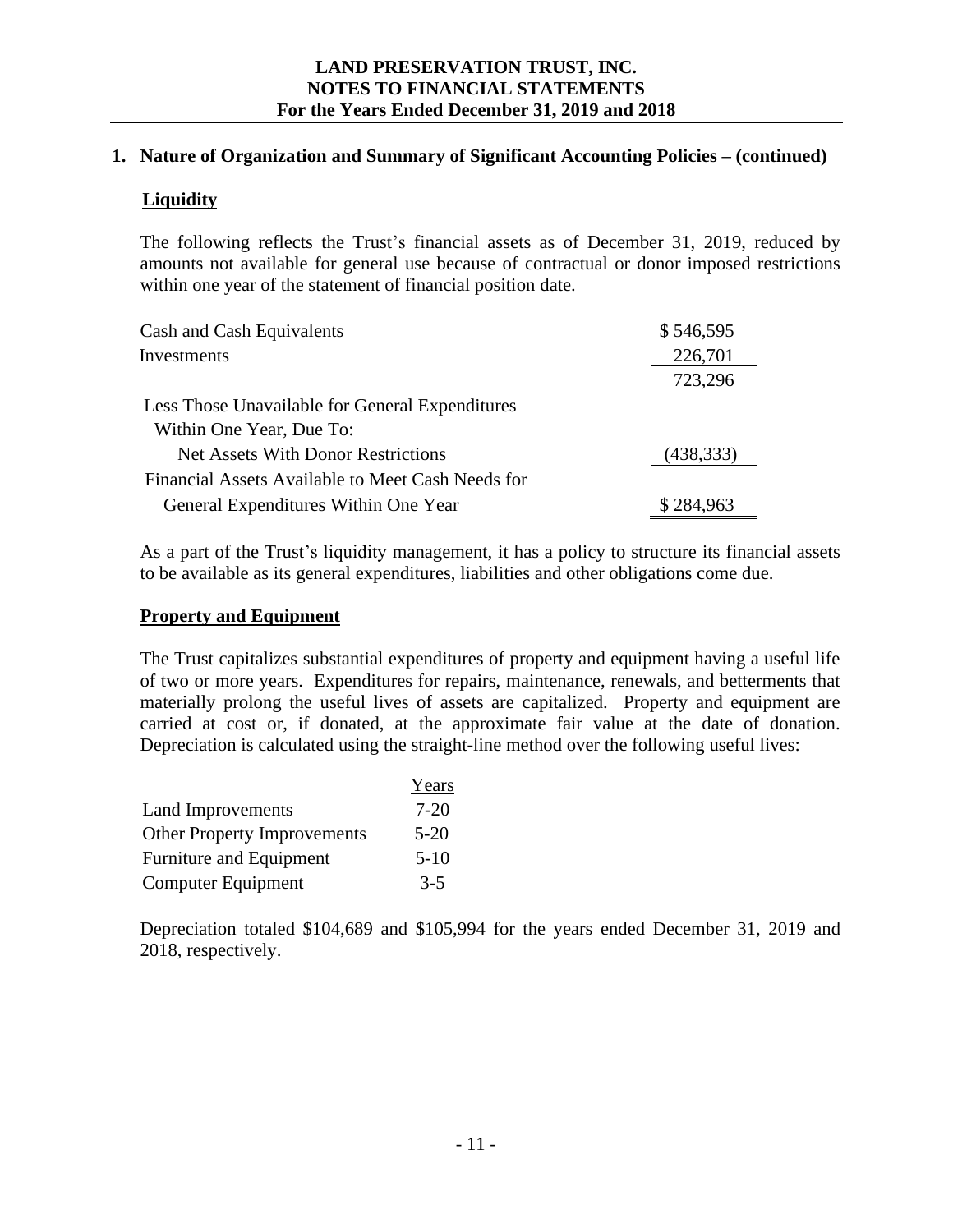### **Liquidity**

The following reflects the Trust's financial assets as of December 31, 2019, reduced by amounts not available for general use because of contractual or donor imposed restrictions within one year of the statement of financial position date.

| Cash and Cash Equivalents                         | \$546,595  |
|---------------------------------------------------|------------|
| Investments                                       | 226,701    |
|                                                   | 723,296    |
| Less Those Unavailable for General Expenditures   |            |
| Within One Year, Due To:                          |            |
| <b>Net Assets With Donor Restrictions</b>         | (438, 333) |
| Financial Assets Available to Meet Cash Needs for |            |
| General Expenditures Within One Year              | \$284,963  |

As a part of the Trust's liquidity management, it has a policy to structure its financial assets to be available as its general expenditures, liabilities and other obligations come due.

### **Property and Equipment**

The Trust capitalizes substantial expenditures of property and equipment having a useful life of two or more years. Expenditures for repairs, maintenance, renewals, and betterments that materially prolong the useful lives of assets are capitalized. Property and equipment are carried at cost or, if donated, at the approximate fair value at the date of donation. Depreciation is calculated using the straight-line method over the following useful lives:

|                                    | Years    |
|------------------------------------|----------|
| Land Improvements                  | $7-20$   |
| <b>Other Property Improvements</b> | $5 - 20$ |
| Furniture and Equipment            | $5-10$   |
| Computer Equipment                 | $3 - 5$  |

Depreciation totaled \$104,689 and \$105,994 for the years ended December 31, 2019 and 2018, respectively.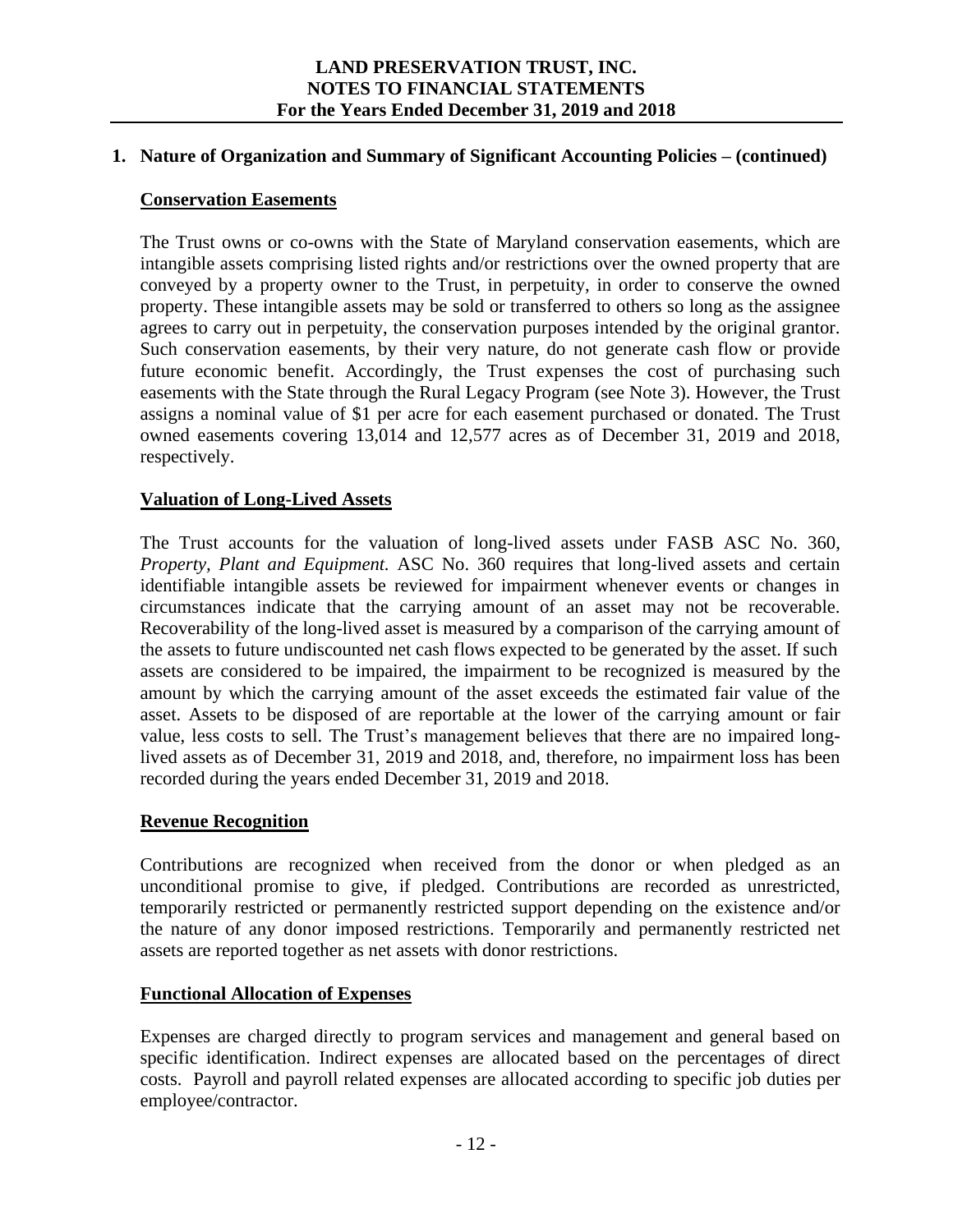### **Conservation Easements**

The Trust owns or co-owns with the State of Maryland conservation easements, which are intangible assets comprising listed rights and/or restrictions over the owned property that are conveyed by a property owner to the Trust, in perpetuity, in order to conserve the owned property. These intangible assets may be sold or transferred to others so long as the assignee agrees to carry out in perpetuity, the conservation purposes intended by the original grantor. Such conservation easements, by their very nature, do not generate cash flow or provide future economic benefit. Accordingly, the Trust expenses the cost of purchasing such easements with the State through the Rural Legacy Program (see Note 3). However, the Trust assigns a nominal value of \$1 per acre for each easement purchased or donated. The Trust owned easements covering 13,014 and 12,577 acres as of December 31, 2019 and 2018, respectively.

## **Valuation of Long-Lived Assets**

The Trust accounts for the valuation of long-lived assets under FASB ASC No. 360, *Property, Plant and Equipment.* ASC No. 360 requires that long-lived assets and certain identifiable intangible assets be reviewed for impairment whenever events or changes in circumstances indicate that the carrying amount of an asset may not be recoverable. Recoverability of the long-lived asset is measured by a comparison of the carrying amount of the assets to future undiscounted net cash flows expected to be generated by the asset. If such assets are considered to be impaired, the impairment to be recognized is measured by the amount by which the carrying amount of the asset exceeds the estimated fair value of the asset. Assets to be disposed of are reportable at the lower of the carrying amount or fair value, less costs to sell. The Trust's management believes that there are no impaired longlived assets as of December 31, 2019 and 2018, and, therefore, no impairment loss has been recorded during the years ended December 31, 2019 and 2018.

### **Revenue Recognition**

Contributions are recognized when received from the donor or when pledged as an unconditional promise to give, if pledged. Contributions are recorded as unrestricted, temporarily restricted or permanently restricted support depending on the existence and/or the nature of any donor imposed restrictions. Temporarily and permanently restricted net assets are reported together as net assets with donor restrictions.

### **Functional Allocation of Expenses**

Expenses are charged directly to program services and management and general based on specific identification. Indirect expenses are allocated based on the percentages of direct costs. Payroll and payroll related expenses are allocated according to specific job duties per employee/contractor.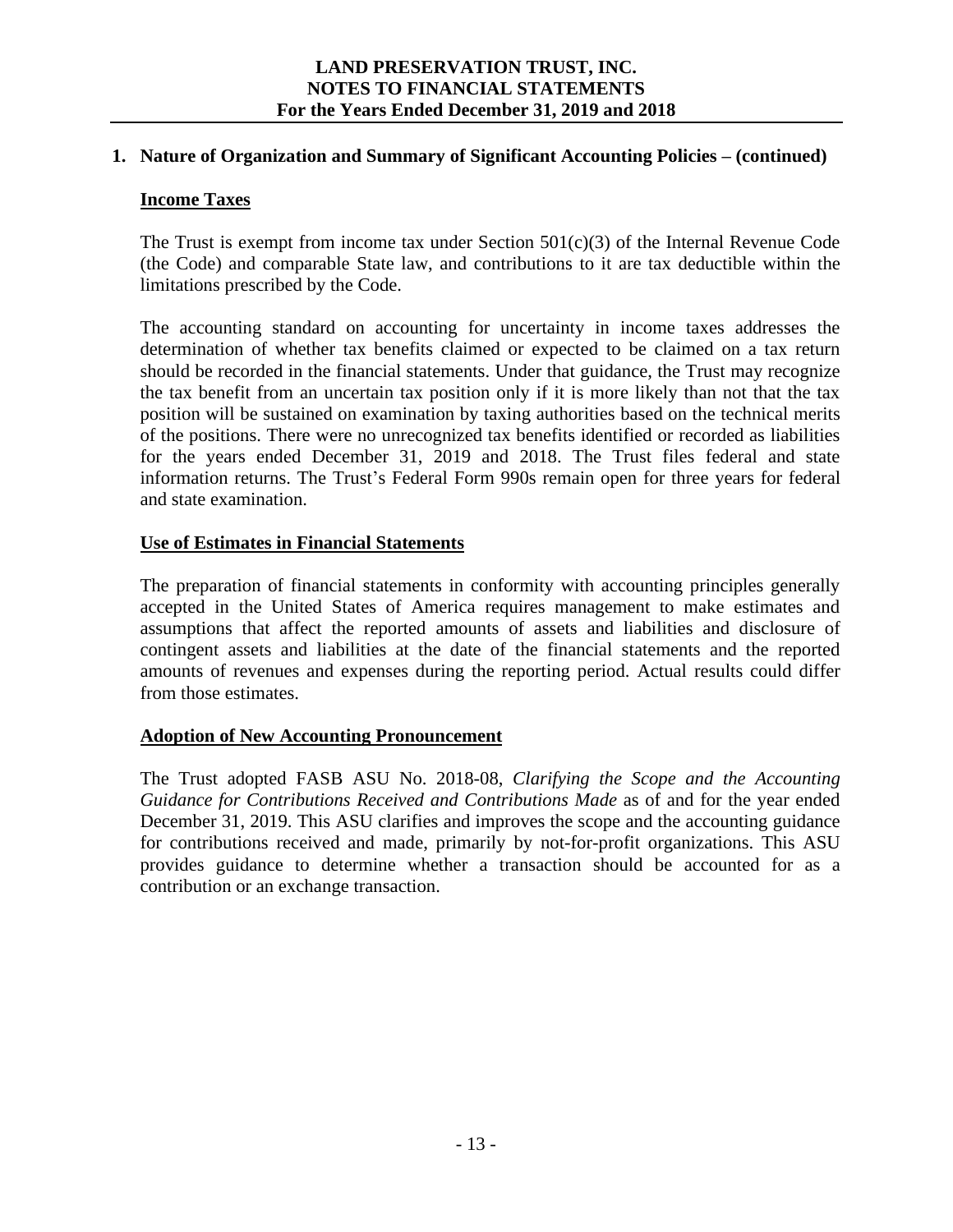### **Income Taxes**

The Trust is exempt from income tax under Section  $501(c)(3)$  of the Internal Revenue Code (the Code) and comparable State law, and contributions to it are tax deductible within the limitations prescribed by the Code.

The accounting standard on accounting for uncertainty in income taxes addresses the determination of whether tax benefits claimed or expected to be claimed on a tax return should be recorded in the financial statements. Under that guidance, the Trust may recognize the tax benefit from an uncertain tax position only if it is more likely than not that the tax position will be sustained on examination by taxing authorities based on the technical merits of the positions. There were no unrecognized tax benefits identified or recorded as liabilities for the years ended December 31, 2019 and 2018. The Trust files federal and state information returns. The Trust's Federal Form 990s remain open for three years for federal and state examination.

## **Use of Estimates in Financial Statements**

The preparation of financial statements in conformity with accounting principles generally accepted in the United States of America requires management to make estimates and assumptions that affect the reported amounts of assets and liabilities and disclosure of contingent assets and liabilities at the date of the financial statements and the reported amounts of revenues and expenses during the reporting period. Actual results could differ from those estimates.

## **Adoption of New Accounting Pronouncement**

The Trust adopted FASB ASU No. 2018-08, *Clarifying the Scope and the Accounting Guidance for Contributions Received and Contributions Made* as of and for the year ended December 31, 2019. This ASU clarifies and improves the scope and the accounting guidance for contributions received and made, primarily by not-for-profit organizations. This ASU provides guidance to determine whether a transaction should be accounted for as a contribution or an exchange transaction.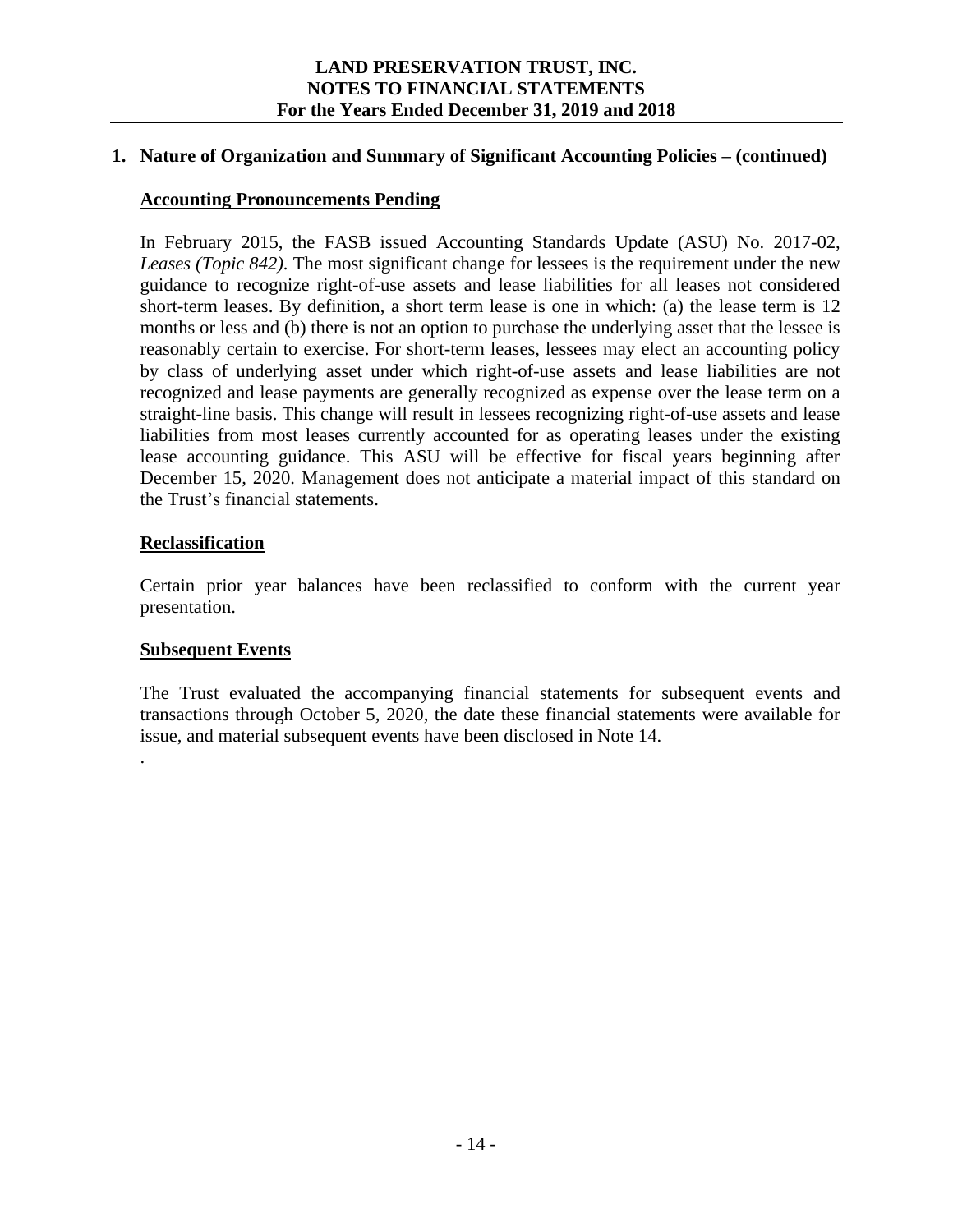### **Accounting Pronouncements Pending**

In February 2015, the FASB issued Accounting Standards Update (ASU) No. 2017-02, *Leases (Topic 842).* The most significant change for lessees is the requirement under the new guidance to recognize right-of-use assets and lease liabilities for all leases not considered short-term leases. By definition, a short term lease is one in which: (a) the lease term is 12 months or less and (b) there is not an option to purchase the underlying asset that the lessee is reasonably certain to exercise. For short-term leases, lessees may elect an accounting policy by class of underlying asset under which right-of-use assets and lease liabilities are not recognized and lease payments are generally recognized as expense over the lease term on a straight-line basis. This change will result in lessees recognizing right-of-use assets and lease liabilities from most leases currently accounted for as operating leases under the existing lease accounting guidance. This ASU will be effective for fiscal years beginning after December 15, 2020. Management does not anticipate a material impact of this standard on the Trust's financial statements.

### **Reclassification**

Certain prior year balances have been reclassified to conform with the current year presentation.

### **Subsequent Events**

.

The Trust evaluated the accompanying financial statements for subsequent events and transactions through October 5, 2020, the date these financial statements were available for issue, and material subsequent events have been disclosed in Note 14.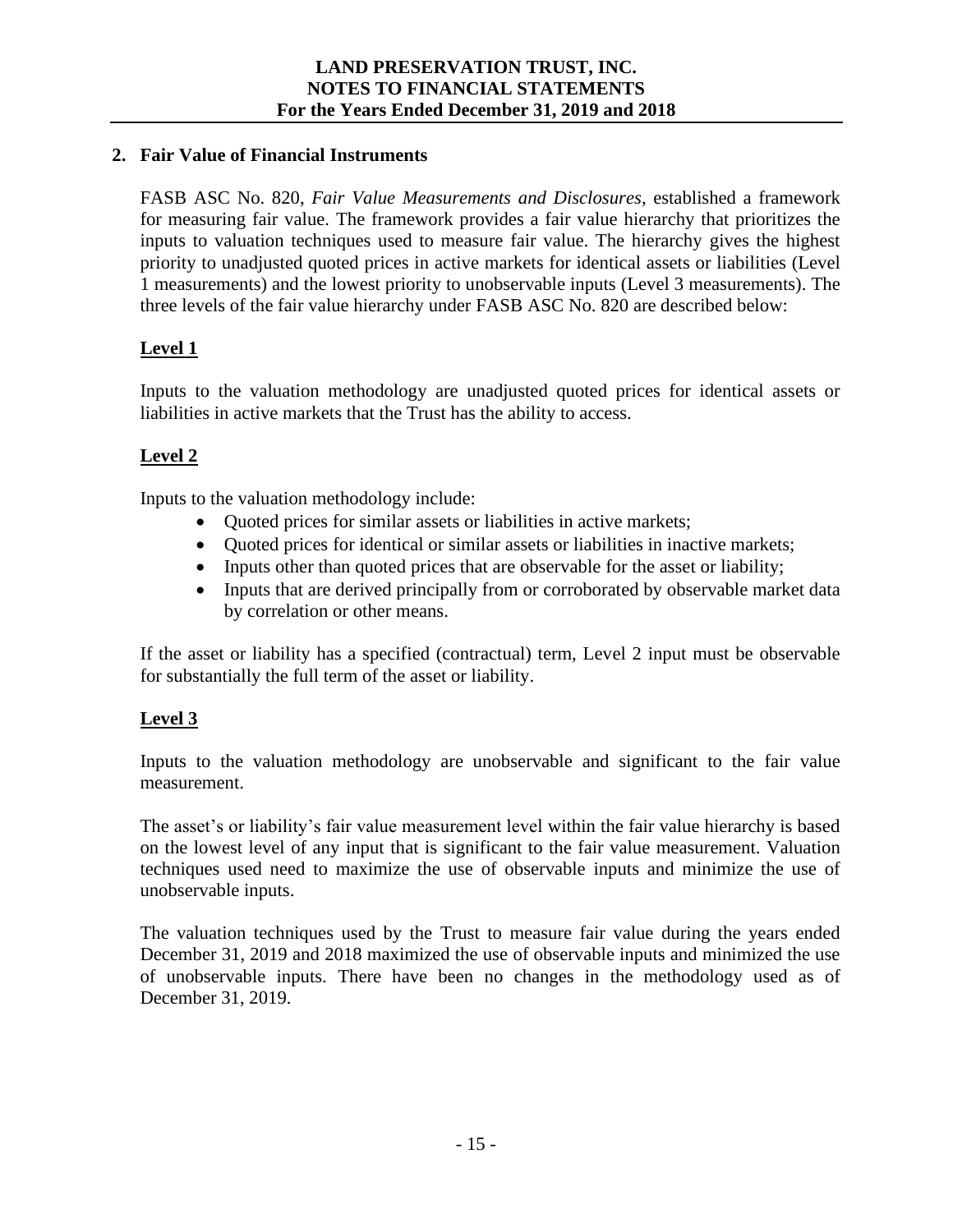### **2. Fair Value of Financial Instruments**

FASB ASC No. 820, *Fair Value Measurements and Disclosures*, established a framework for measuring fair value. The framework provides a fair value hierarchy that prioritizes the inputs to valuation techniques used to measure fair value. The hierarchy gives the highest priority to unadjusted quoted prices in active markets for identical assets or liabilities (Level 1 measurements) and the lowest priority to unobservable inputs (Level 3 measurements). The three levels of the fair value hierarchy under FASB ASC No. 820 are described below:

## **Level 1**

Inputs to the valuation methodology are unadjusted quoted prices for identical assets or liabilities in active markets that the Trust has the ability to access.

## **Level 2**

Inputs to the valuation methodology include:

- Quoted prices for similar assets or liabilities in active markets;
- Quoted prices for identical or similar assets or liabilities in inactive markets;
- Inputs other than quoted prices that are observable for the asset or liability;
- Inputs that are derived principally from or corroborated by observable market data by correlation or other means.

If the asset or liability has a specified (contractual) term, Level 2 input must be observable for substantially the full term of the asset or liability.

## **Level 3**

Inputs to the valuation methodology are unobservable and significant to the fair value measurement.

The asset's or liability's fair value measurement level within the fair value hierarchy is based on the lowest level of any input that is significant to the fair value measurement. Valuation techniques used need to maximize the use of observable inputs and minimize the use of unobservable inputs.

The valuation techniques used by the Trust to measure fair value during the years ended December 31, 2019 and 2018 maximized the use of observable inputs and minimized the use of unobservable inputs. There have been no changes in the methodology used as of December 31, 2019.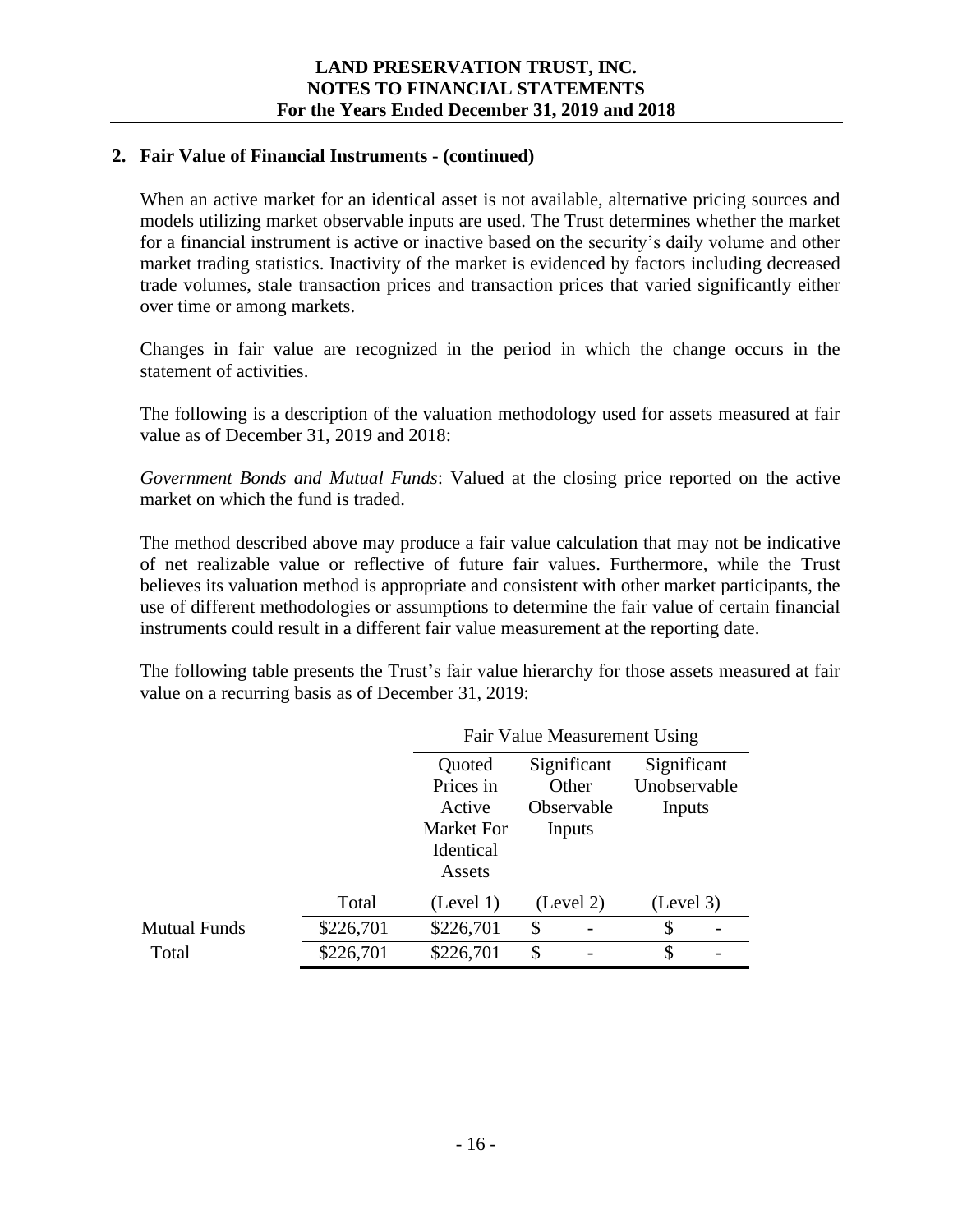### **2. Fair Value of Financial Instruments - (continued)**

When an active market for an identical asset is not available, alternative pricing sources and models utilizing market observable inputs are used. The Trust determines whether the market for a financial instrument is active or inactive based on the security's daily volume and other market trading statistics. Inactivity of the market is evidenced by factors including decreased trade volumes, stale transaction prices and transaction prices that varied significantly either over time or among markets.

Changes in fair value are recognized in the period in which the change occurs in the statement of activities.

The following is a description of the valuation methodology used for assets measured at fair value as of December 31, 2019 and 2018:

*Government Bonds and Mutual Funds*: Valued at the closing price reported on the active market on which the fund is traded.

The method described above may produce a fair value calculation that may not be indicative of net realizable value or reflective of future fair values. Furthermore, while the Trust believes its valuation method is appropriate and consistent with other market participants, the use of different methodologies or assumptions to determine the fair value of certain financial instruments could result in a different fair value measurement at the reporting date.

The following table presents the Trust's fair value hierarchy for those assets measured at fair value on a recurring basis as of December 31, 2019:

|                     |           |                   | Fair Value Measurement Using |              |  |  |  |  |
|---------------------|-----------|-------------------|------------------------------|--------------|--|--|--|--|
|                     |           | Quoted            | Significant                  | Significant  |  |  |  |  |
|                     |           | Prices in         | Other                        | Unobservable |  |  |  |  |
|                     |           | Active            | Observable                   | Inputs       |  |  |  |  |
|                     |           | <b>Market For</b> | Inputs                       |              |  |  |  |  |
|                     |           | Identical         |                              |              |  |  |  |  |
|                     |           | Assets            |                              |              |  |  |  |  |
|                     | Total     | (Level 1)         | (Level 2)                    | (Level 3)    |  |  |  |  |
| <b>Mutual Funds</b> | \$226,701 | \$226,701         | \$                           | \$           |  |  |  |  |
| Total               | \$226,701 | \$226,701         | \$                           | \$           |  |  |  |  |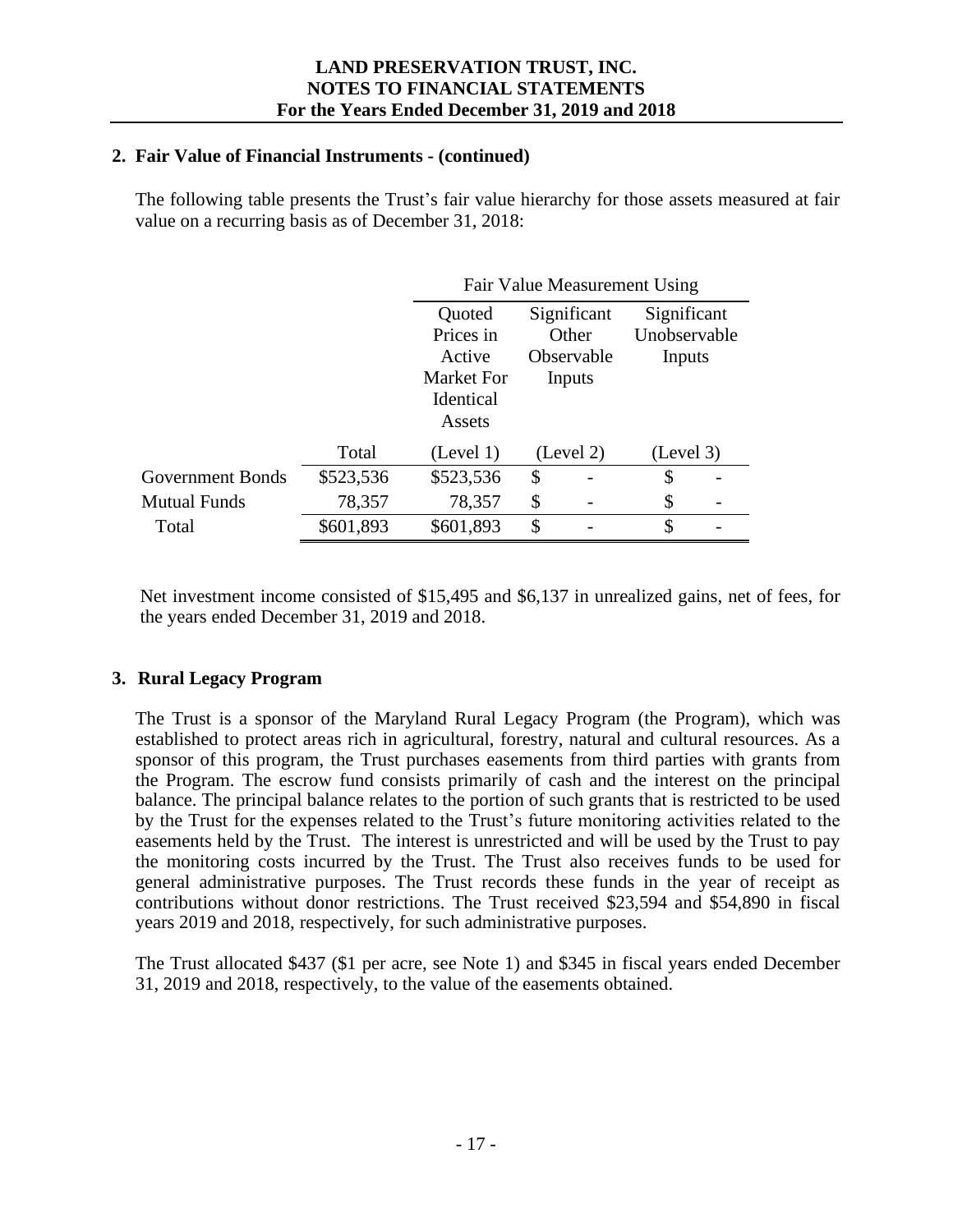### **2. Fair Value of Financial Instruments - (continued)**

The following table presents the Trust's fair value hierarchy for those assets measured at fair value on a recurring basis as of December 31, 2018:

|                         |           | Fair Value Measurement Using |             |              |  |  |  |
|-------------------------|-----------|------------------------------|-------------|--------------|--|--|--|
|                         |           | Quoted                       | Significant | Significant  |  |  |  |
|                         |           | Prices in                    | Other       | Unobservable |  |  |  |
|                         |           | Active                       | Observable  | Inputs       |  |  |  |
|                         |           | <b>Market For</b>            | Inputs      |              |  |  |  |
|                         |           | Identical                    |             |              |  |  |  |
|                         |           | Assets                       |             |              |  |  |  |
|                         | Total     | (Level 1)                    | (Level 2)   | (Level 3)    |  |  |  |
| <b>Government Bonds</b> | \$523,536 | \$523,536                    | \$          | \$           |  |  |  |
| <b>Mutual Funds</b>     | 78,357    | 78,357                       | \$          | \$           |  |  |  |
| Total                   | \$601,893 | \$601,893                    | \$          | \$           |  |  |  |

Net investment income consisted of \$15,495 and \$6,137 in unrealized gains, net of fees, for the years ended December 31, 2019 and 2018.

## **3. Rural Legacy Program**

The Trust is a sponsor of the Maryland Rural Legacy Program (the Program), which was established to protect areas rich in agricultural, forestry, natural and cultural resources. As a sponsor of this program, the Trust purchases easements from third parties with grants from the Program. The escrow fund consists primarily of cash and the interest on the principal balance. The principal balance relates to the portion of such grants that is restricted to be used by the Trust for the expenses related to the Trust's future monitoring activities related to the easements held by the Trust. The interest is unrestricted and will be used by the Trust to pay the monitoring costs incurred by the Trust. The Trust also receives funds to be used for general administrative purposes. The Trust records these funds in the year of receipt as contributions without donor restrictions. The Trust received \$23,594 and \$54,890 in fiscal years 2019 and 2018, respectively, for such administrative purposes.

The Trust allocated \$437 (\$1 per acre, see Note 1) and \$345 in fiscal years ended December 31, 2019 and 2018, respectively, to the value of the easements obtained.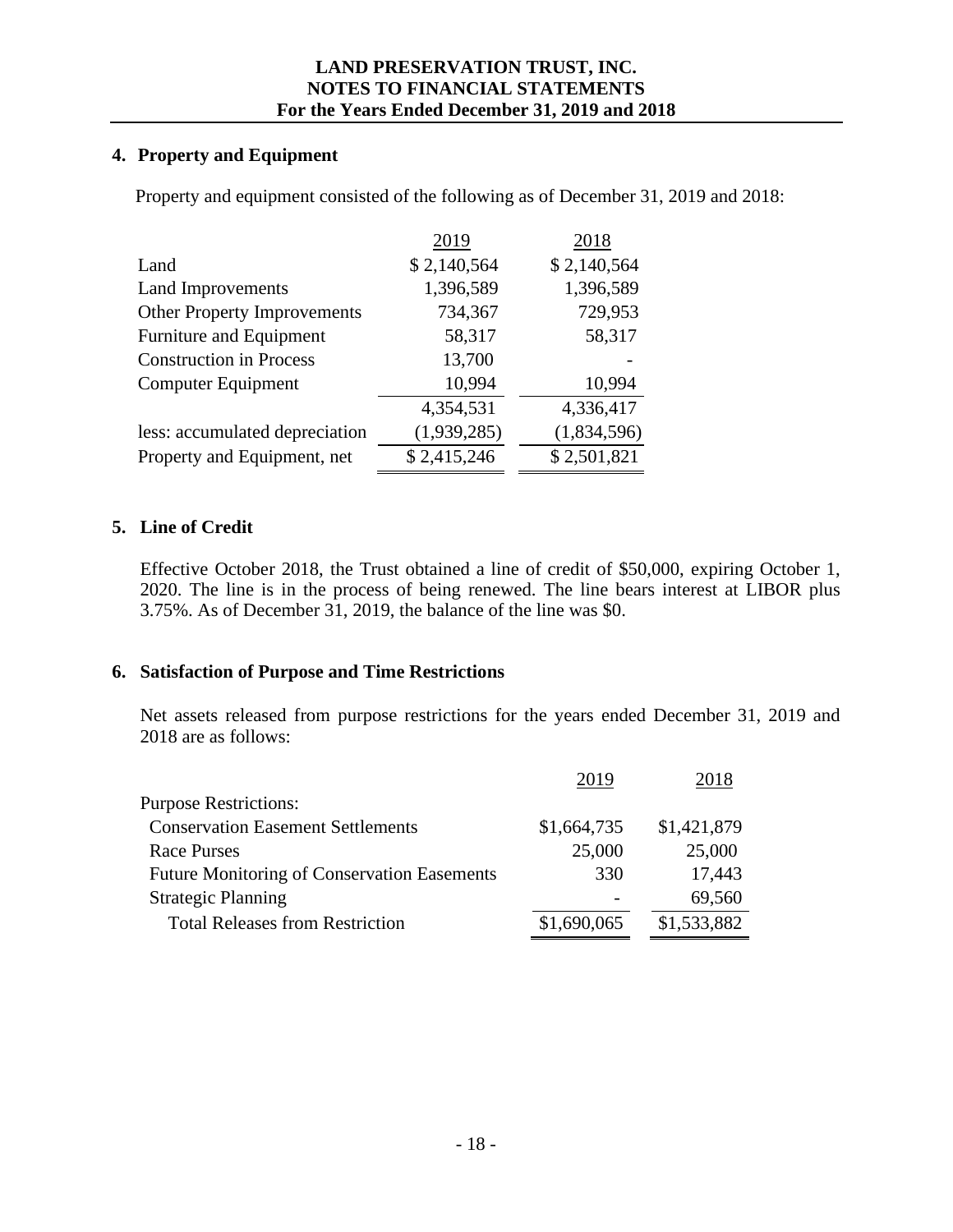### **4. Property and Equipment**

Property and equipment consisted of the following as of December 31, 2019 and 2018:

|                                    | 2019        | 2018        |
|------------------------------------|-------------|-------------|
| Land                               | \$2,140,564 | \$2,140,564 |
| <b>Land Improvements</b>           | 1,396,589   | 1,396,589   |
| <b>Other Property Improvements</b> | 734,367     | 729,953     |
| Furniture and Equipment            | 58,317      | 58,317      |
| <b>Construction in Process</b>     | 13,700      |             |
| Computer Equipment                 | 10,994      | 10,994      |
|                                    | 4,354,531   | 4,336,417   |
| less: accumulated depreciation     | (1,939,285) | (1,834,596) |
| Property and Equipment, net        | \$2,415,246 | \$2,501,821 |

### **5. Line of Credit**

Effective October 2018, the Trust obtained a line of credit of \$50,000, expiring October 1, 2020. The line is in the process of being renewed. The line bears interest at LIBOR plus 3.75%. As of December 31, 2019, the balance of the line was \$0.

## **6. Satisfaction of Purpose and Time Restrictions**

Net assets released from purpose restrictions for the years ended December 31, 2019 and 2018 are as follows:

|                                                    | 2019        | 2018        |
|----------------------------------------------------|-------------|-------------|
| <b>Purpose Restrictions:</b>                       |             |             |
| <b>Conservation Easement Settlements</b>           | \$1,664,735 | \$1,421,879 |
| Race Purses                                        | 25,000      | 25,000      |
| <b>Future Monitoring of Conservation Easements</b> | 330         | 17,443      |
| <b>Strategic Planning</b>                          |             | 69,560      |
| <b>Total Releases from Restriction</b>             | \$1,690,065 | \$1,533,882 |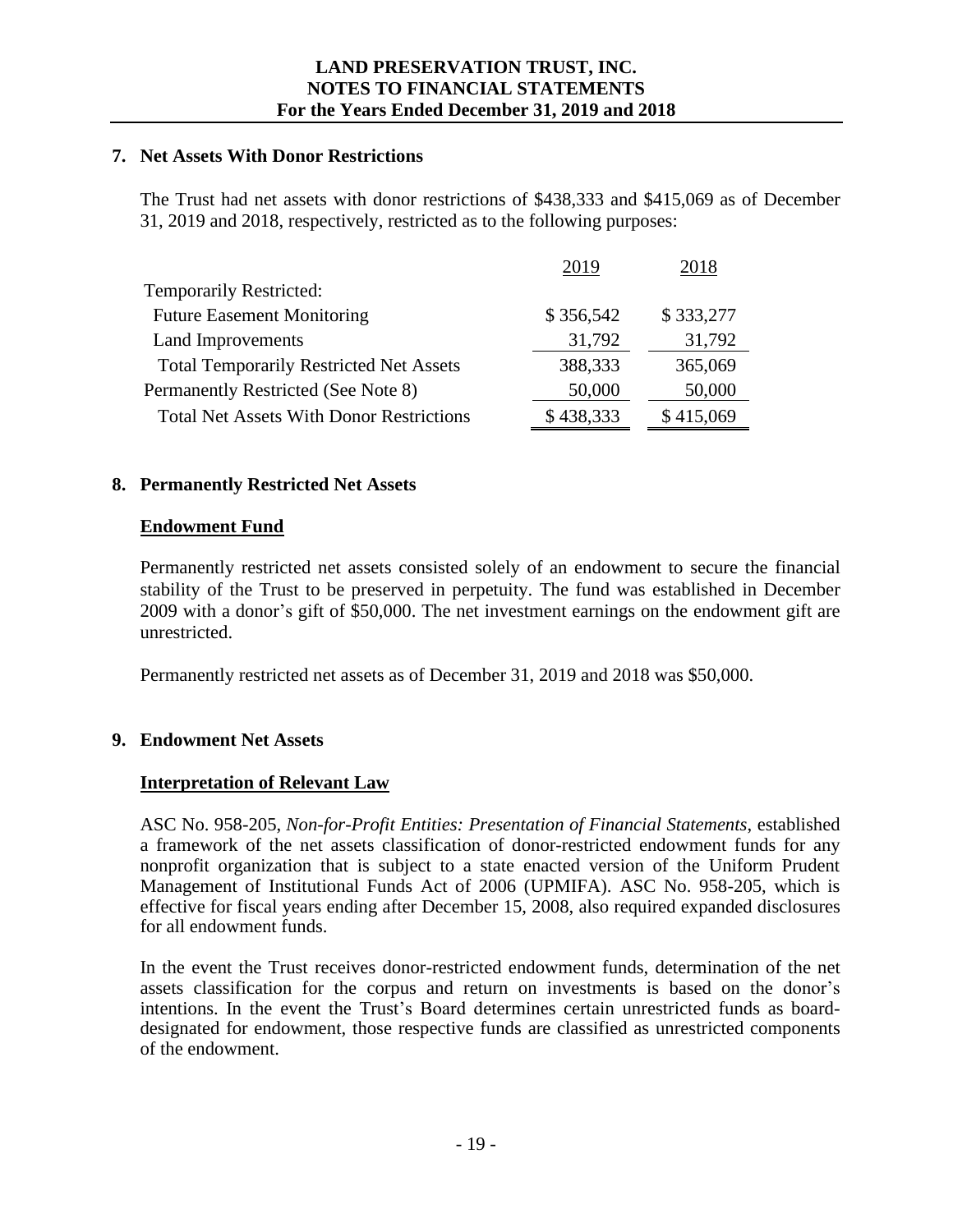### **7. Net Assets With Donor Restrictions**

The Trust had net assets with donor restrictions of \$438,333 and \$415,069 as of December 31, 2019 and 2018, respectively, restricted as to the following purposes:

|                                                 | 2019      | 2018      |
|-------------------------------------------------|-----------|-----------|
| <b>Temporarily Restricted:</b>                  |           |           |
| <b>Future Easement Monitoring</b>               | \$356,542 | \$333,277 |
| Land Improvements                               | 31,792    | 31,792    |
| <b>Total Temporarily Restricted Net Assets</b>  | 388,333   | 365,069   |
| Permanently Restricted (See Note 8)             | 50,000    | 50,000    |
| <b>Total Net Assets With Donor Restrictions</b> | \$438,333 | \$415,069 |
|                                                 |           |           |

### **8. Permanently Restricted Net Assets**

### **Endowment Fund**

Permanently restricted net assets consisted solely of an endowment to secure the financial stability of the Trust to be preserved in perpetuity. The fund was established in December 2009 with a donor's gift of \$50,000. The net investment earnings on the endowment gift are unrestricted.

Permanently restricted net assets as of December 31, 2019 and 2018 was \$50,000.

## **9. Endowment Net Assets**

## **Interpretation of Relevant Law**

ASC No. 958-205, *Non-for-Profit Entities: Presentation of Financial Statements*, established a framework of the net assets classification of donor-restricted endowment funds for any nonprofit organization that is subject to a state enacted version of the Uniform Prudent Management of Institutional Funds Act of 2006 (UPMIFA). ASC No. 958-205, which is effective for fiscal years ending after December 15, 2008, also required expanded disclosures for all endowment funds.

In the event the Trust receives donor-restricted endowment funds, determination of the net assets classification for the corpus and return on investments is based on the donor's intentions. In the event the Trust's Board determines certain unrestricted funds as boarddesignated for endowment, those respective funds are classified as unrestricted components of the endowment.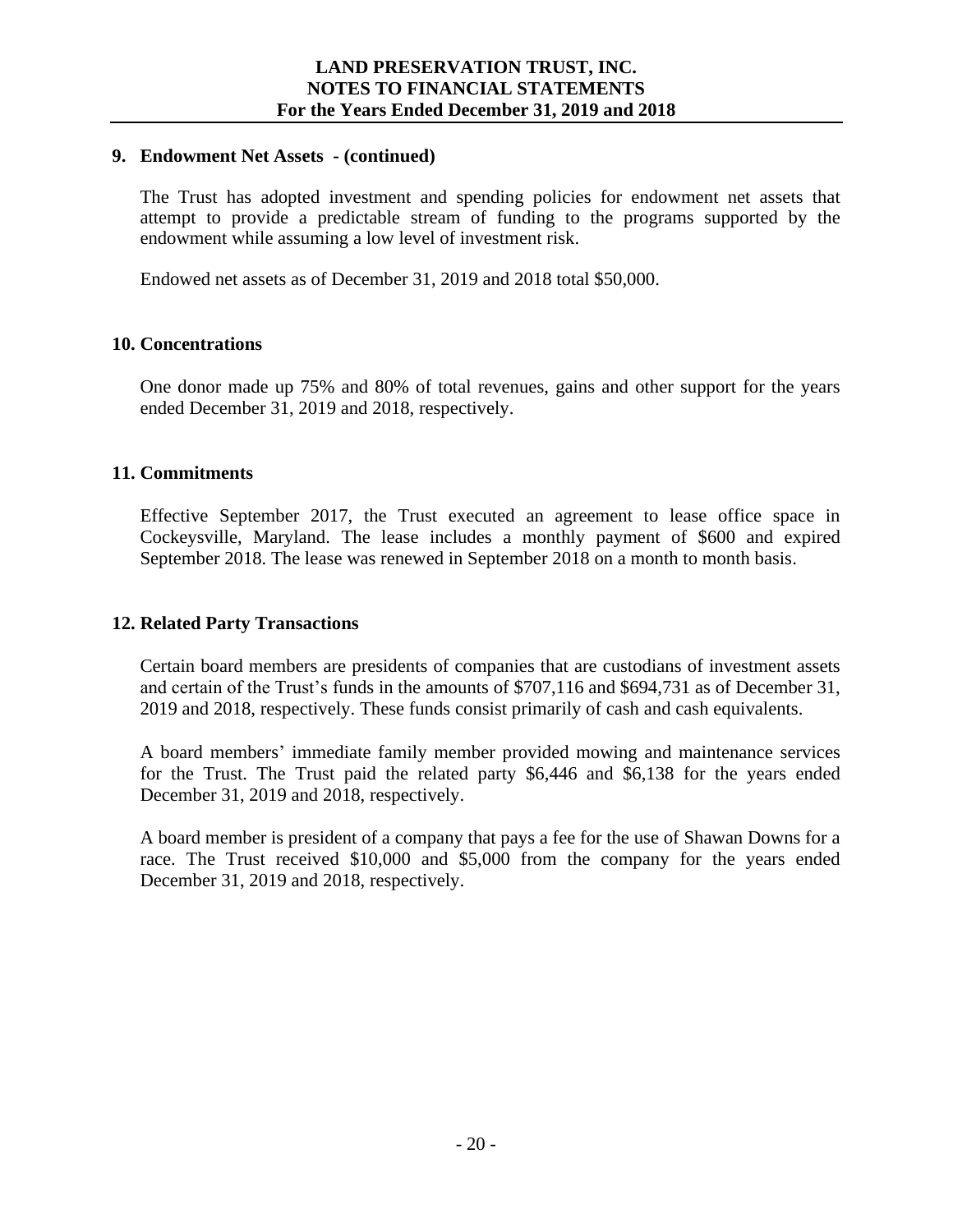#### **9. Endowment Net Assets - (continued)**

The Trust has adopted investment and spending policies for endowment net assets that attempt to provide a predictable stream of funding to the programs supported by the endowment while assuming a low level of investment risk.

Endowed net assets as of December 31, 2019 and 2018 total \$50,000.

### **10. Concentrations**

One donor made up 75% and 80% of total revenues, gains and other support for the years ended December 31, 2019 and 2018, respectively.

### **11. Commitments**

Effective September 2017, the Trust executed an agreement to lease office space in Cockeysville, Maryland. The lease includes a monthly payment of \$600 and expired September 2018. The lease was renewed in September 2018 on a month to month basis.

### **12. Related Party Transactions**

Certain board members are presidents of companies that are custodians of investment assets and certain of the Trust's funds in the amounts of \$707,116 and \$694,731 as of December 31, 2019 and 2018, respectively. These funds consist primarily of cash and cash equivalents.

A board members' immediate family member provided mowing and maintenance services for the Trust. The Trust paid the related party \$6,446 and \$6,138 for the years ended December 31, 2019 and 2018, respectively.

A board member is president of a company that pays a fee for the use of Shawan Downs for a race. The Trust received \$10,000 and \$5,000 from the company for the years ended December 31, 2019 and 2018, respectively.